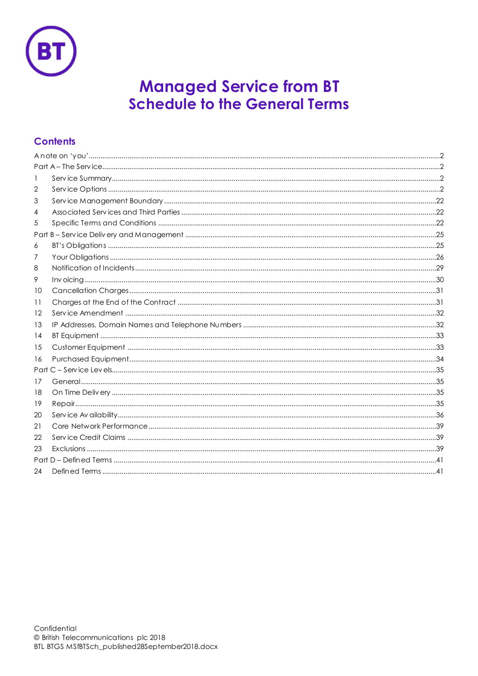

# **Managed Service from BT**<br>Schedule to the General Terms

# **Contents**

| 1  |  |
|----|--|
| 2  |  |
| 3  |  |
| 4  |  |
| 5  |  |
|    |  |
| 6  |  |
| 7  |  |
| 8  |  |
| 9  |  |
| 10 |  |
| 11 |  |
| 12 |  |
| 13 |  |
| 14 |  |
| 15 |  |
| 16 |  |
|    |  |
| 17 |  |
| 18 |  |
| 19 |  |
| 20 |  |
| 21 |  |
| 22 |  |
| 23 |  |
|    |  |
| 24 |  |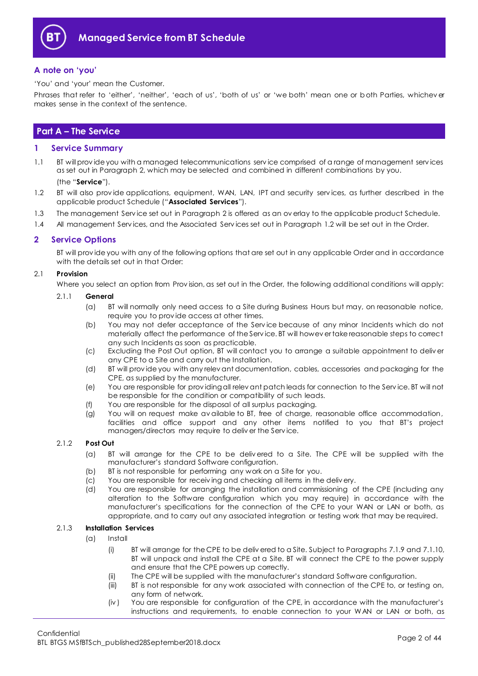

## <span id="page-1-0"></span>**A note on 'you'**

'You' and 'your' mean the Customer.

Phrases that refer to 'either', 'neither', 'each of us', 'both of us' or 'we both' mean one or both Parties, whichev er makes sense in the context of the sentence.

# <span id="page-1-1"></span>**Part A – The Service**

## <span id="page-1-2"></span>**1 Service Summary**

1.1 BT will prov ide you with a managed telecommunications serv ice comprised of a range of management serv ices as set out in Paragraph [2,](#page-1-3) which may be selected and combined in different combinations by you.

#### (the "**Service**").

- <span id="page-1-4"></span>1.2 BT will also prov ide applications, equipment, WAN, LAN, IPT and security serv ices, as further described in the applicable product Schedule ("**Associated Services**").
- 1.3 The management Serv ice set out in Paragraph [2](#page-1-3) is offered as an ov erlay to the applicable product Schedule.
- 1.4 All management Services, and the Associated Services set out in Paragraph [1.2](#page-1-4) will be set out in the Order.

## <span id="page-1-3"></span>**2 Service Options**

BT will prov ide you with any of the following options that are set out in any applicable Order and in accordance with the details set out in that Order:

## 2.1 **Provision**

Where you select an option from Prov ision, as set out in the Order, the following additional conditions will apply:

## 2.1.1 **General**

- (a) BT will normally only need access to a Site during Business Hours but may, on reasonable notice, require you to prov ide access at other times.
- (b) You may not defer acceptance of the Serv ice because of any minor Incidents which do not materially affect the performance of the Serv ice. BT will howev er take reasonable steps to correct any such Incidents as soon as practicable.
- (c) Excluding the Post Out option, BT will contact you to arrange a suitable appointment to deliv er any CPE to a Site and carry out the Installation.
- (d) BT will prov ide you with any relev ant documentation, cables, accessories and packaging for the CPE, as supplied by the manufacturer.
- (e) You are responsible for prov iding all relev ant patch leads for connection to the Serv ice. BT will not be responsible for the condition or compatibility of such leads.
- (f) You are responsible for the disposal of all surplus packaging.
- (g) You will on request make av ailable to BT, free of charge, reasonable office accommodation, facilities and office support and any other items notified to you that BT's project managers/directors may require to deliv er the Serv ice.

## 2.1.2 **Post Out**

- (a) BT will arrange for the CPE to be deliv ered to a Site. The CPE will be supplied with the manufacturer's standard Software configuration.
- (b) BT is not responsible for performing any work on a Site for you.
- (c) You are responsible for receiv ing and checking all items in the deliv ery.
- (d) You are responsible for arranging the installation and commissioning of the CPE (including any alteration to the Software configuration which you may require) in accordance with the manufacturer's specifications for the connection of the CPE to your WAN or LAN or both, as appropriate, and to carry out any associated integration or testing work that may be required.

## 2.1.3 **Installation Services**

- (a) Install
	- (i) BT will arrange for the CPE to be deliv ered to a Site. Subject to Paragraph[s 7.1.9](#page-25-1) an[d 7.1.10,](#page-25-2) BT will unpack and install the CPE at a Site. BT will connect the CPE to the power supply and ensure that the CPE powers up correctly.
	- (ii) The CPE will be supplied with the manufacturer's standard Software configuration.
	- (iii) BT is not responsible for any work associated with connection of the CPE to, or testing on, any form of network.
	- (iv ) You are responsible for configuration of the CPE, in accordance with the manufacturer's instructions and requirements, to enable connection to your WAN or LAN or both, as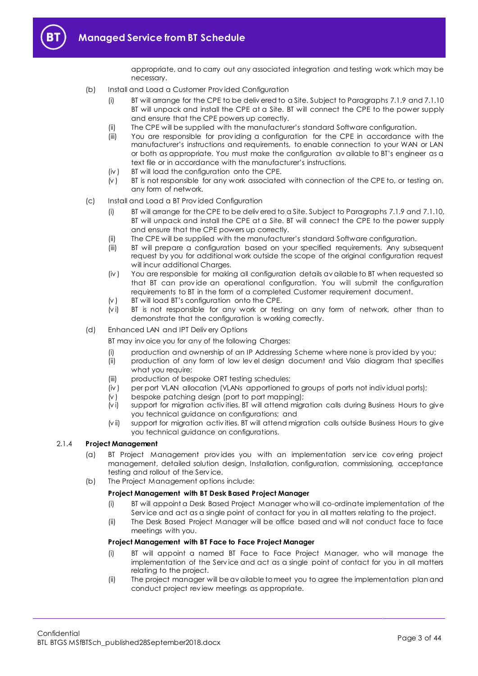

appropriate, and to carry out any associated integration and testing work which may be necessary.

- (b) Install and Load a Customer Prov ided Configuration
	- (i) BT will arrange for the CPE to be deliv ered to a Site. Subject to Paragraph[s 7.1.9](#page-25-1) an[d 7.1.10](#page-25-2) BT will unpack and install the CPE at a Site. BT will connect the CPE to the power supply and ensure that the CPE powers up correctly.
	- (ii) The CPE will be supplied with the manufacturer's standard Software configuration.
	- (iii) You are responsible for prov iding a configuration for the CPE in accordance with the manufacturer's instructions and requirements, to enable connection to your WAN or LAN or both as appropriate. You must make the configuration av ailable to BT's engineer as a text file or in accordance with the manufacturer's instructions.
	- (iv ) BT will load the configuration onto the CPE.
	- (v ) BT is not responsible for any work associated with connection of the CPE to, or testing on, any form of network.
- (c) Install and Load a BT Prov ided Configuration
	- (i) BT will arrange for the CPE to be deliv ered to a Site. Subject to Paragraph[s 7.1.9](#page-25-1) an[d 7.1.10,](#page-25-2) BT will unpack and install the CPE at a Site. BT will connect the CPE to the power supply and ensure that the CPE powers up correctly.
	- (ii) The CPE will be supplied with the manufacturer's standard Software configuration.
	- (iii) BT will prepare a configuration based on your specified requirements. Any subsequent request by you for additional work outside the scope of the original configuration request will incur additional Charges.
	- (iv ) You are responsible for making all configuration details av ailable to BT when requested so that BT can prov ide an operational configuration. You will submit the configuration requirements to BT in the form of a completed Customer requirement document.
	- $(v)$  BT will load BT's configuration onto the CPE.
	- (vi) BT is not responsible for any work or testing on any form of network, other than to demonstrate that the configuration is working correctly.
- (d) Enhanced LAN and IPT Deliv ery Options

BT may inv oice you for any of the following Charges:

- (i) production and ownership of an IP Addressing Scheme where none is prov ided by you;
- (ii) production of any form of low lev el design document and Visio diagram that specifies what you require;
- (iii) production of bespoke ORT testing schedules;
- (iv ) per port VLAN allocation (VLANs apportioned to groups of ports not indiv idual ports);
- (v ) bespoke patching design (port to port mapping);
- (v i) support for migration activ ities. BT will attend migration calls during Business Hours to give you technical guidance on configurations; and
- (v ii) support for migration activ ities. BT will attend migration calls outside Business Hours to give you technical guidance on configurations.

## <span id="page-2-1"></span><span id="page-2-0"></span>2.1.4 **Project Management**

- (a) BT Project Management prov ides you with an implementation serv ice cov ering project management, detailed solution design, Installation, configuration, commissioning, acceptance testing and rollout of the Serv ice.
- (b) The Project Management options include:

## **Project Management with BT Desk Based Project Manager**

- (i) BT will appoint a Desk Based Project Manager who will co-ordinate implementation of the Serv ice and act as a single point of contact for you in all matters relating to the project.
- (ii) The Desk Based Project Manager will be office based and will not conduct face to face meetings with you.

#### **Project Management with BT Face to Face Project Manager**

- (i) BT will appoint a named BT Face to Face Project Manager, who will manage the implementation of the Serv ice and act as a single point of contact for you in all matters relating to the project.
- (ii) The project manager will be av ailable to meet you to agree the implementation plan and conduct project rev iew meetings as appropriate.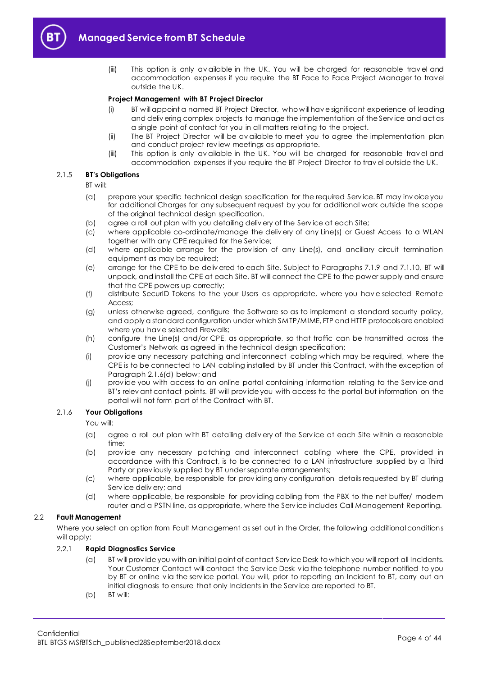

(iii) This option is only av ailable in the UK. You will be charged for reasonable trav el and accommodation expenses if you require the BT Face to Face Project Manager to travel outside the UK.

#### **Project Management with BT Project Director**

- (i) BT will appoint a named BT Project Director, who will hav e significant experience of leading and deliv ering complex projects to manage the implementation of the Serv ice and act as a single point of contact for you in all matters relating to the project.
- (ii) The BT Project Director will be av ailable to meet you to agree the implementation plan and conduct project rev iew meetings as appropriate.
- (iii) This option is only av ailable in the UK. You will be charged for reasonable trav el and accommodation expenses if you require the BT Project Director to trav el outside the UK.

## 2.1.5 **BT's Obligations**

BT will:

- (a) prepare your specific technical design specification for the required Serv ice. BT may inv oice you for additional Charges for any subsequent request by you for additional work outside the scope of the original technical design specification.
- (b) agree a roll out plan with you detailing deliv ery of the Serv ice at each Site;
- (c) where applicable co-ordinate/manage the deliv ery of any Line(s) or Guest Access to a WLAN together with any CPE required for the Serv ice;
- (d) where applicable arrange for the prov ision of any Line(s), and ancillary circuit termination equipment as may be required;
- (e) arrange for the CPE to be deliv ered to each Site. Subject to Paragraphs [7.1.9](#page-25-1) and [7.1.10,](#page-25-2) BT will unpack, and install the CPE at each Site. BT will connect the CPE to the power supply and ensure that the CPE powers up correctly;
- (f) distribute SecurID Tokens to the your Users as appropriate, where you hav e selected Remote Access;
- (g) unless otherwise agreed, configure the Software so as to implement a standard security policy, and apply a standard configuration under which SMTP/MIME, FTP and HTTP protocols are enabled where you have selected Firewalls;
- (h) configure the Line(s) and/or CPE, as appropriate, so that traffic can be transmitted across the Customer's Network as agreed in the technical design specification;
- (i) prov ide any necessary patching and interconnect cabling which may be required, where the CPE is to be connected to LAN cabling installed by BT under this Contract, with the exception of Paragraph [2.1.6\(d\)](#page-3-0) below; and
- (j) prov ide you with access to an online portal containing information relating to the Serv ice and BT's relev ant contact points. BT will prov ide you with access to the portal but information on the portal will not form part of the Contract with BT.

## 2.1.6 **Your Obligations**

You will:

- (a) agree a roll out plan with BT detailing deliv ery of the Serv ice at each Site within a reasonable time;
- (b) provide any necessary patching and interconnect cabling where the CPE, provided in accordance with this Contract, is to be connected to a LAN infrastructure supplied by a Third Party or prev iously supplied by BT under separate arrangements;
- (c) where applicable, be responsible for prov iding any configuration details requested by BT during Serv ice deliv ery; and
- (d) where applicable, be responsible for prov iding cabling from the PBX to the net buffer/ modem router and a PSTN line, as appropriate, where the Serv ice includes Call Management Reporting.

#### <span id="page-3-0"></span>2.2 **Fault Management**

Where you select an option from Fault Management as set out in the Order, the following additional conditions will apply:

## <span id="page-3-1"></span>2.2.1 **Rapid Diagnostics Service**

- (a) BT will prov ide you with an initial point of contact Serv ice Desk to which you will report all Incidents. Your Customer Contact will contact the Serv ice Desk v ia the telephone number notified to you by BT or online via the service portal. You will, prior to reporting an Incident to BT, carry out an initial diagnosis to ensure that only Incidents in the Serv ice are reported to BT.
- (b) BT will: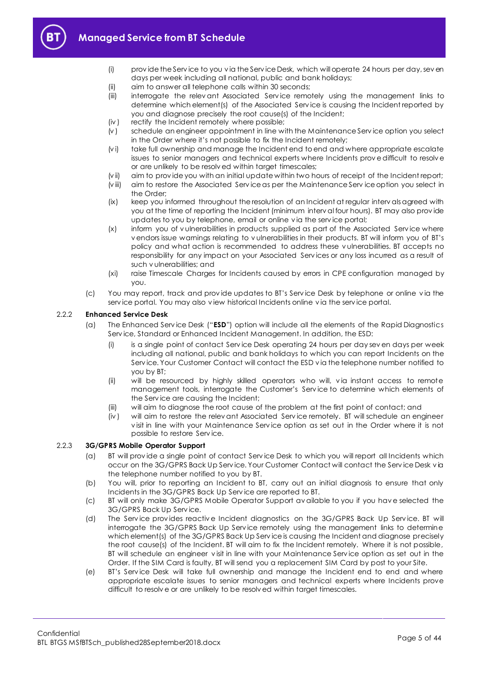

- (i) prov ide the Serv ice to you v ia the Serv ice Desk, which will operate 24 hours per day, sev en days per week including all national, public and bank holidays;
- (ii) aim to answer all telephone calls within 30 seconds;
- (iii) interrogate the relev ant Associated Serv ice remotely using the management links to determine which element(s) of the Associated Serv ice is causing the Incident reported by you and diagnose precisely the root cause(s) of the Incident;
- (iv ) rectify the Incident remotely where possible;
- (v ) schedule an engineer appointment in line with the Maintenance Serv ice option you select in the Order where it's not possible to fix the Incident remotely;
- (vi) take full ownership and manage the Incident end to end and where appropriate escalate issues to senior managers and technical experts where Incidents prov e difficult to resolv e or are unlikely to be resolv ed within target timescales;
- (v ii) aim to prov ide you with an initial update within two hours of receipt of the Incident report;
- (v iii) aim to restore the Associated Serv ice as per the Maintenance Serv ice option you select in the Order;
- (ix) keep you informed throughout the resolution of an Incident at regular interv als agreed with you at the time of reporting the Incident (minimum interv al four hours). BT may also prov ide updates to you by telephone, email or online v ia the serv ice portal;
- (x) inform you of v ulnerabilities in products supplied as part of the Associated Serv ice where v endors issue warnings relating to v ulnerabilities in their products. BT will inform you of BT's policy and what action is recommended to address these v ulnerabilities. BT accepts no responsibility for any impact on your Associated Serv ices or any loss incurred as a result of such v ulnerabilities; and
- (xi) raise Timescale Charges for Incidents caused by errors in CPE configuration managed by you.
- (c) You may report, track and prov ide updates to BT's Serv ice Desk by telephone or online v ia the serv ice portal. You may also v iew historical Incidents online v ia the serv ice portal.

## <span id="page-4-0"></span>2.2.2 **Enhanced Service Desk**

- (a) The Enhanced Serv ice Desk ("**ESD**") option will include all the elements of the Rapid Diagnostics Serv ice, Standard or Enhanced Incident Management. In addition, the ESD:
	- (i) is a single point of contact Serv ice Desk operating 24 hours per day sev en days per week including all national, public and bank holidays to which you can report Incidents on the Serv ice. Your Customer Contact will contact the ESD v ia the telephone number notified to you by BT;
	- (ii) will be resourced by highly skilled operators who will, via instant access to remote management tools, interrogate the Customer's Serv ice to determine which elements of the Serv ice are causing the Incident;
	- (iii) will aim to diagnose the root cause of the problem at the first point of contact; and
	- (iv ) will aim to restore the relev ant Associated Serv ice remotely. BT will schedule an engineer v isit in line with your Maintenance Serv ice option as set out in the Order where it is not possible to restore Serv ice.

## 2.2.3 **3G/GPRS Mobile Operator Support**

- (a) BT will prov ide a single point of contact Serv ice Desk to which you will report all Incidents which occur on the 3G/GPRS Back Up Serv ice. Your Customer Contact will contact the Serv ice Desk v ia the telephone number notified to you by BT.
- (b) You will, prior to reporting an Incident to BT, carry out an initial diagnosis to ensure that only Incidents in the 3G/GPRS Back Up Serv ice are reported to BT.
- (c) BT will only make 3G/GPRS Mobile Operator Support av ailable to you if you hav e selected the 3G/GPRS Back Up Serv ice.
- (d) The Service provides reactive Incident diagnostics on the 3G/GPRS Back Up Service. BT will interrogate the 3G/GPRS Back Up Serv ice remotely using the management links to determine which element(s) of the 3G/GPRS Back Up Service is causing the Incident and diagnose precisely the root cause(s) of the Incident. BT will aim to fix the Incident remotely. Where it is not possible, BT will schedule an engineer v isit in line with your Maintenance Serv ice option as set out in the Order. If the SIM Card is faulty, BT will send you a replacement SIM Card by post to your Site.
- (e) BT's Serv ice Desk will take full ownership and manage the Incident end to end and where appropriate escalate issues to senior managers and technical experts where Incidents prove difficult to resolv e or are unlikely to be resolv ed within target timescales.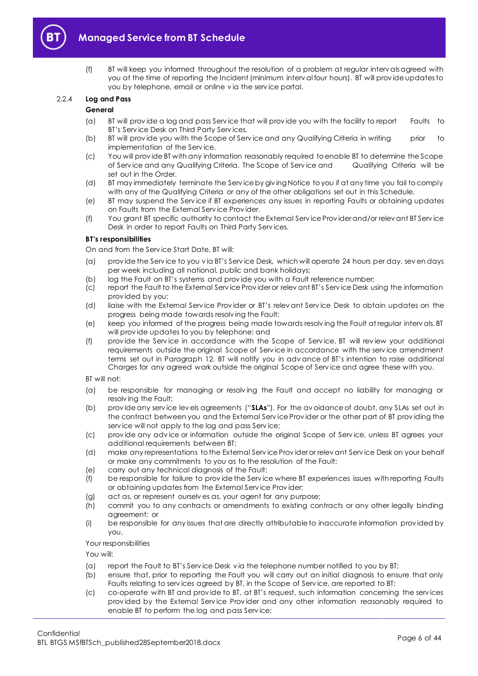

(f) BT will keep you informed throughout the resolution of a problem at regular interv als agreed with you at the time of reporting the Incident (minimum interv al four hours). BT will prov ide updates to you by telephone, email or online v ia the serv ice portal.

## 2.2.4 **Log and Pass**

## **General**

- (a) BT will prov ide a log and pass Serv ice that will prov ide you with the facility to report Faults to BT's Serv ice Desk on Third Party Serv ices.
- (b) BT will prov ide you with the Scope of Serv ice and any Qualifying Criteria in writing prior to implementation of the Serv ice.
- (c) You will prov ide BT with any information reasonably required to enable BT to determine the Scope of Serv ice and any Qualifying Criteria. The Scope of Serv ice and Qualifying Criteria will be set out in the Order.
- (d) BT may immediately terminate the Serv ice by giv ing Notice to you if at any time you fail to comply with any of the Qualifying Criteria or any of the other obligations set out in this Schedule.
- (e) BT may suspend the Serv ice if BT experiences any issues in reporting Faults or obtaining updates on Faults from the External Serv ice Prov ider.
- (f) You grant BT specific authority to contact the External Serv ice Prov ider and/or relev ant BT Serv ice Desk in order to report Faults on Third Party Serv ices.

## **BT's responsibilities**

On and from the Serv ice Start Date, BT will:

- (a) prov ide the Serv ice to you v ia BT's Serv ice Desk, which will operate 24 hours per day, sev en days per week including all national, public and bank holidays;
- (b) log the Fault on BT's systems and prov ide you with a Fault reference number;
- (c) report the Fault to the External Serv ice Prov ider or relev ant BT's Serv ice Desk using the information prov ided by you;
- (d) liaise with the External Serv ice Prov ider or BT's relev ant Serv ice Desk to obtain updates on the progress being made towards resolv ing the Fault;
- (e) keep you informed of the progress being made towards resolv ing the Fault at regular interv als. BT will prov ide updates to you by telephone; and
- (f) prov ide the Serv ice in accordance with the Scope of Serv ice. BT will rev iew your additional requirements outside the original Scope of Serv ice in accordance with the serv ice amendment terms set out in Paragraph [12](#page-31-0). BT will notify you in adv ance of BT's intention to raise additional Charges for any agreed work outside the original Scope of Serv ice and agree these with you.

BT will not:

- (a) be responsible for managing or resolv ing the Fault and accept no liability for managing or resolv ing the Fault;
- (b) prov ide any serv ice lev els agreements ("**SLAs**"). For the av oidance of doubt, any SLAs set out in the contract between you and the External Serv ice Prov ider or the other part of BT prov iding the serv ice will not apply to the log and pass Serv ice;
- (c) prov ide any adv ice or information outside the original Scope of Serv ice, unless BT agrees your additional requirements between BT;
- (d) make any representations to the External Serv ice Prov ider or relev ant Serv ice Desk on your behalf or make any commitments to you as to the resolution of the Fault;
- (e) carry out any technical diagnosis of the Fault;
- (f) be responsible for failure to prov ide the Serv ice where BT experiences issues with reporting Faults or obtaining updates from the External Serv ice Prov ider;
- (g) act as, or represent ourselv es as, your agent for any purpose;
- (h) commit you to any contracts or amendments to existing contracts or any other legally binding agreement; or
- (i) be responsible for any issues that are directly attributable to inaccurate information prov ided by you.

Your responsibilities

You will:

- (a) report the Fault to BT's Serv ice Desk v ia the telephone number notified to you by BT;
- (b) ensure that, prior to reporting the Fault you will carry out an initial diagnosis to ensure that only Faults relating to serv ices agreed by BT, in the Scope of Serv ice, are reported to BT;
- (c) co-operate with BT and prov ide to BT, at BT's request, such information concerning the serv ices prov ided by the External Serv ice Prov ider and any other information reasonably required to enable BT to perform the log and pass Serv ice;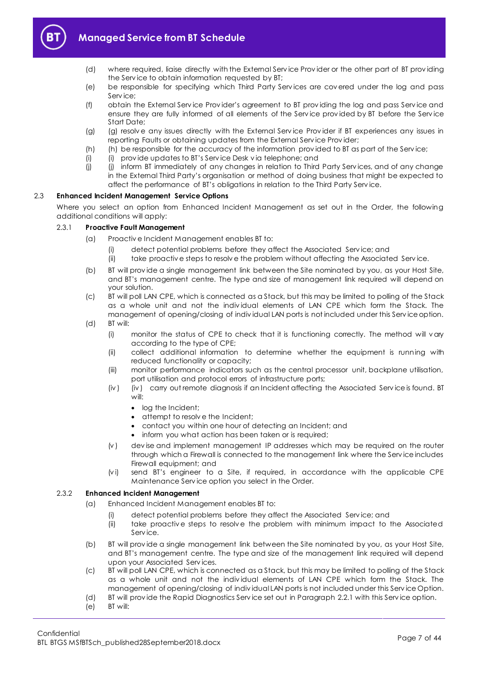

- (d) where required, liaise directly with the External Serv ice Prov ider or the other part of BT prov iding the Serv ice to obtain information requested by BT;
- (e) be responsible for specifying which Third Party Serv ices are cov ered under the log and pass Serv ice;
- (f) obtain the External Serv ice Prov ider's agreement to BT prov iding the log and pass Serv ice and ensure they are fully informed of all elements of the Serv ice prov ided by BT before the Serv ice Start Date;
- (g) (g) resolv e any issues directly with the External Serv ice Prov ider if BT experiences any issues in reporting Faults or obtaining updates from the External Serv ice Prov ider;
- (h) (h) be responsible for the accuracy of the information provided to BT as part of the Service;
- (i) (i) prov ide updates to BT's Serv ice Desk v ia telephone; and
- (i) (i) inform BT immediately of any changes in relation to Third Party Services, and of any change in the External Third Party's organisation or method of doing business that might be expected to affect the performance of BT's obligations in relation to the Third Party Serv ice.

## 2.3 **Enhanced Incident Management Service Options**

Where you select an option from Enhanced Incident Management as set out in the Order, the following additional conditions will apply:

## 2.3.1 **Proactive Fault Management**

- (a) Proactiv e Incident Management enables BT to:
	- (i) detect potential problems before they affect the Associated Serv ice; and
	- (ii) take proactiv e steps to resolv e the problem without affecting the Associated Serv ice.
- (b) BT will prov ide a single management link between the Site nominated by you, as your Host Site, and BT's management centre. The type and size of management link required will depend on your solution.
- (c) BT will poll LAN CPE, which is connected as a Stack, but this may be limited to polling of the Stack as a whole unit and not the indiv idual elements of LAN CPE which form the Stack. The management of opening/closing of indiv idual LAN ports is not included under this Serv ice option.
- (d) BT will:
	- (i) monitor the status of CPE to check that it is functioning correctly. The method will v ary according to the type of CPE;
	- (ii) collect additional information to determine whether the equipment is running with reduced functionality or capacity;
	- (iii) monitor performance indicators such as the central processor unit, backplane utilisation, port utilisation and protocol errors of infrastructure ports;
	- (iv ) (iv ) carry out remote diagnosis if an Incident affecting the Associated Serv ice is found. BT will:
		- log the Incident;
		- attempt to resolve the Incident;
		- contact you within one hour of detecting an Incident; and
		- inform you what action has been taken or is required;
	- $(v)$  dev ise and implement management IP addresses which may be required on the router through which a Firewall is connected to the management link where the Serv ice includes Firewall equipment; and
	- (v i) send BT's engineer to a Site, if required, in accordance with the applicable CPE Maintenance Serv ice option you select in the Order.

## 2.3.2 **Enhanced Incident Management**

- (a) Enhanced Incident Management enables BT to:
	- (i) detect potential problems before they affect the Associated Serv ice; and
	- (ii) take proactiv e steps to resolv e the problem with minimum impact to the Associated Serv ice.
- (b) BT will prov ide a single management link between the Site nominated by you, as your Host Site, and BT's management centre. The type and size of the management link required will depend upon your Associated Serv ices.
- (c) BT will poll LAN CPE, which is connected as a Stack, but this may be limited to polling of the Stack as a whole unit and not the indiv idual elements of LAN CPE which form the Stack. The management of opening/closing of indiv idual LAN ports is not included under this Serv ice Option.
- (d) BT will prov ide the Rapid Diagnostics Serv ice set out in Paragraph [2.2.1](#page-3-1) with this Serv ice option.
- (e) BT will: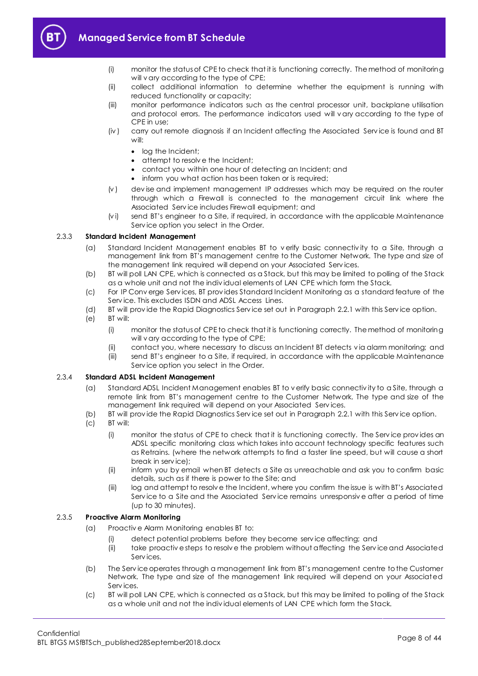

- (i) monitor the status of CPE to check that it is functioning correctly. The method of monitoring will v ary according to the type of CPE;
- (ii) collect additional information to determine whether the equipment is running with reduced functionality or capacity;
- (iii) monitor performance indicators such as the central processor unit, backplane utilisation and protocol errors. The performance indicators used will v ary according to the type of CPE in use;
- (iv ) carry out remote diagnosis if an Incident affecting the Associated Serv ice is found and BT will:
	- log the Incident:
	- attempt to resolve the Incident;
	- contact you within one hour of detecting an Incident; and
	- inform you what action has been taken or is required;
- $(v)$  dev ise and implement management IP addresses which may be required on the router through which a Firewall is connected to the management circuit link where the Associated Serv ice includes Firewall equipment; and
- (v i) send BT's engineer to a Site, if required, in accordance with the applicable Maintenance Serv ice option you select in the Order.

## 2.3.3 **Standard Incident Management**

- (a) Standard Incident Management enables BT to v erify basic connectiv ity to a Site, through a management link from BT's management centre to the Customer Network. The type and size of the management link required will depend on your Associated Serv ices.
- (b) BT will poll LAN CPE, which is connected as a Stack, but this may be limited to polling of the Stack as a whole unit and not the indiv idual elements of LAN CPE which form the Stack.
- (c) For IP Conv erge Serv ices, BT prov ides Standard Incident Monitoring as a standard feature of the Serv ice. This excludes ISDN and ADSL Access Lines.
- (d) BT will prov ide the Rapid Diagnostics Serv ice set out in Paragraph [2.2.1](#page-3-1) with this Serv ice option.
- (e) BT will:
	- (i) monitor the status of CPE to check that it is functioning correctly. The method of monitoring will v ary according to the type of CPE;
	- (ii) contact you, where necessary to discuss an Incident BT detects v ia alarm monitoring; and
	- (iii) send BT's engineer to a Site, if required, in accordance with the applicable Maintenance Serv ice option you select in the Order.

## 2.3.4 **Standard ADSL Incident Management**

- (a) Standard ADSL Incident Management enables BT to v erify basic connectiv ity to a Site, through a remote link from BT's management centre to the Customer Network. The type and size of the management link required will depend on your Associated Serv ices.
- (b) BT will prov ide the Rapid Diagnostics Serv ice set out in Paragraph [2.2.1](#page-3-1) with this Serv ice option.
- (c) BT will:
	- (i) monitor the status of CPE to check that it is functioning correctly. The Serv ice prov ides an ADSL specific monitoring class which takes into account technology specific features such as Retrains. (where the network attempts to find a faster line speed, but will cause a short break in serv ice);
	- (ii) inform you by email when BT detects a Site as unreachable and ask you to confirm basic details, such as if there is power to the Site; and
	- (iii) log and attempt to resolv e the Incident, where you confirm the issue is with BT's Associated Serv ice to a Site and the Associated Serv ice remains unresponsiv e after a period of time (up to 30 minutes).

## 2.3.5 **Proactive Alarm Monitoring**

- (a) Proactiv e Alarm Monitoring enables BT to:
	- (i) detect potential problems before they become serv ice affecting; and
	- (ii) take proactiv e steps to resolv e the problem without affecting the Serv ice and Associated Serv ices.
- (b) The Serv ice operates through a management link from BT's management centre to the Customer Network. The type and size of the management link required will depend on your Associated Serv ices.
- (c) BT will poll LAN CPE, which is connected as a Stack, but this may be limited to polling of the Stack as a whole unit and not the indiv idual elements of LAN CPE which form the Stack.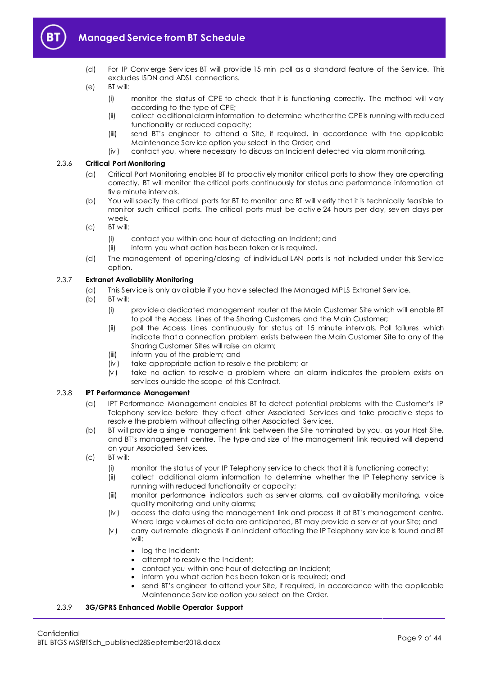

- (d) For IP Conv erge Serv ices BT will prov ide 15 min poll as a standard feature of the Serv ice. This excludes ISDN and ADSL connections.
- (e) BT will:
	- (i) monitor the status of CPE to check that it is functioning correctly. The method will vary according to the type of CPE;
	- (ii) collect additional alarm information to determine whether the CPE is running with reduced functionality or reduced capacity;
	- (iii) send BT's engineer to attend a Site, if required, in accordance with the applicable Maintenance Serv ice option you select in the Order; and
	- (iv ) contact you, where necessary to discuss an Incident detected v ia alarm monitoring.

## 2.3.6 **Critical Port Monitoring**

- (a) Critical Port Monitoring enables BT to proactiv ely monitor critical ports to show they are operating correctly. BT will monitor the critical ports continuously for status and performance information at fiv e minute interv als.
- (b) You will specify the critical ports for BT to monitor and BT will v erify that it is technically feasible to monitor such critical ports. The critical ports must be activ e 24 hours per day, sev en days per week.
- (c) BT will:
	- (i) contact you within one hour of detecting an Incident; and
	- (ii) inform you what action has been taken or is required.
- (d) The management of opening/closing of indiv idual LAN ports is not included under this Serv ice option.

## 2.3.7 **Extranet Availability Monitoring**

- (a) This Serv ice is only av ailable if you hav e selected the Managed MPLS Extranet Serv ice.
- (b) BT will:
	- (i) prov ide a dedicated management router at the Main Customer Site which will enable BT to poll the Access Lines of the Sharing Customers and the Main Customer;
	- (ii) poll the Access Lines continuously for status at 15 minute interv als. Poll failures which indicate that a connection problem exists between the Main Customer Site to any of the Sharing Customer Sites will raise an alarm;
	- (iii) inform you of the problem; and
	- (iv ) take appropriate action to resolv e the problem; or
	- $(v)$  take no action to resolve a problem where an alarm indicates the problem exists on serv ices outside the scope of this Contract.

## 2.3.8 **IPT Performance Management**

- (a) IPT Performance Management enables BT to detect potential problems with the Customer's IP Telephony serv ice before they affect other Associated Serv ices and take proactiv e steps to resolv e the problem without affecting other Associated Serv ices.
- (b) BT will prov ide a single management link between the Site nominated by you, as your Host Site, and BT's management centre. The type and size of the management link required will depend on your Associated Serv ices.
- (c) BT will:
	- (i) monitor the status of your IP Telephony serv ice to check that it is functioning correctly;
	- (ii) collect additional alarm information to determine whether the IP Telephony serv ice is running with reduced functionality or capacity;
	- (iii) monitor performance indicators such as serv er alarms, call av ailability monitoring, v oice quality monitoring and unity alarms;
	- (iv ) access the data using the management link and process it at BT's management centre. Where large v olumes of data are anticipated, BT may prov ide a serv er at your Site; and
	- (v ) carry out remote diagnosis if an Incident affecting the IP Telephony serv ice is found and BT will:
		- log the Incident:
		- attempt to resolve the Incident;
		- contact you within one hour of detecting an Incident;
		- inform you what action has been taken or is required; and
		- send BT's engineer to attend your Site, if required, in accordance with the applicable Maintenance Serv ice option you select on the Order.

## 2.3.9 **3G/GPRS Enhanced Mobile Operator Support**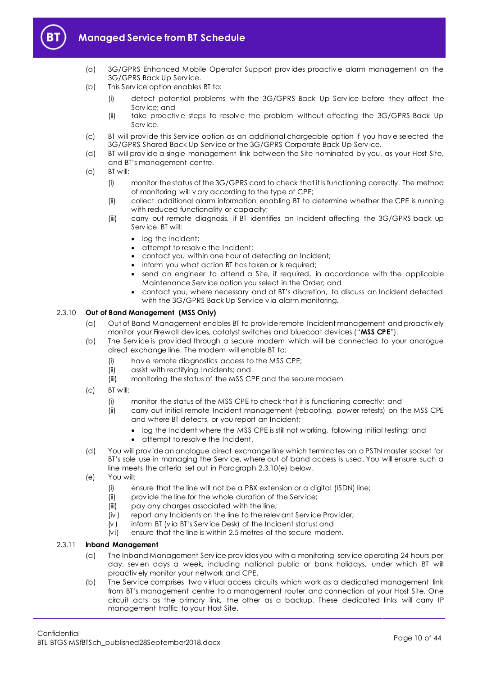

- (a) 3G/GPRS Enhanced Mobile Operator Support prov ides proactiv e alarm management on the 3G/GPRS Back Up Serv ice.
- (b) This Serv ice option enables BT to:
	- (i) detect potential problems with the 3G/GPRS Back Up Serv ice before they affect the Serv ice; and
	- (ii) take proactiv e steps to resolv e the problem without affecting the 3G/GPRS Back Up Serv ice.
- (c) BT will prov ide this Serv ice option as an additional chargeable option if you hav e selected the 3G/GPRS Shared Back Up Serv ice or the 3G/GPRS Corporate Back Up Serv ice.
- (d) BT will prov ide a single management link between the Site nominated by you, as your Host Site, and BT's management centre.
- (e) BT will:
	- (i) monitor the status of the 3G/GPRS card to check that it is functioning correctly. The method of monitoring will v ary according to the type of CPE;
	- (ii) collect additional alarm information enabling BT to determine whether the CPE is running with reduced functionality or capacity;
	- (iii) carry out remote diagnosis, if BT identifies an Incident affecting the 3G/GPRS back up Serv ice. BT will:
		- log the Incident;
		- attempt to resolv e the Incident;
		- contact you within one hour of detecting an Incident;
		- inform you what action BT has taken or is required;
		- send an engineer to attend a Site, if required, in accordance with the applicable Maintenance Serv ice option you select in the Order; and
		- contact you, where necessary and at BT's discretion, to discuss an Incident detected with the 3G/GPRS Back Up Service via alarm monitoring.

#### <span id="page-9-1"></span>2.3.10 **Out of Band Management (MSS Only)**

- (a) Out of Band Management enables BT to prov ide remote Incident management and proactiv ely monitor your Firewall dev ices, catalyst switches and bluecoat dev ices ("**MSS CPE**").
- (b) The Serv ice is prov ided through a secure modem which will be connected to your analogue direct exchange line. The modem will enable BT to:
	- (i) hav e remote diagnostics access to the MSS CPE;
	- (ii) assist with rectifying Incidents; and
	- (iii) monitoring the status of the MSS CPE and the secure modem.
- (c) BT will:
	- (i) monitor the status of the MSS CPE to check that it is functioning correctly; and
	- (ii) carry out initial remote Incident management (rebooting, power retests) on the MSS CPE and where BT detects, or you report an Incident;
		- log the Incident where the MSS CPE is still not working, following initial testing; and
		- attempt to resolve the Incident.
- (d) You will prov ide an analogue direct exchange line which terminates on a PSTN master socket for BT's sole use in managing the Service, where out of band access is used. You will ensure such a line meets the criteria set out in Paragrap[h 2.3.10\(e\)](#page-9-0) below.
- <span id="page-9-0"></span>(e) You will:
	- (i) ensure that the line will not be a PBX extension or a digital (ISDN) line;
	- (ii) provide the line for the whole duration of the Service;
	- (iii) pay any charges associated with the line;
	- (iv ) report any Incidents on the line to the relev ant Serv ice Prov ider;
	- (v ) inform BT (v ia BT's Serv ice Desk) of the Incident status; and
	- (v i) ensure that the line is within 2.5 metres of the secure modem.

#### 2.3.11 **Inband Management**

- (a) The Inband Management Serv ice prov ides you with a monitoring serv ice operating 24 hours per day, sev en days a week, including national public or bank holidays, under which BT will proactiv ely monitor your network and CPE.
- (b) The Serv ice comprises two v irtual access circuits which work as a dedicated management link from BT's management centre to a management router and connection at your Host Site. One circuit acts as the primary link, the other as a backup. These dedicated links will carry IP management traffic to your Host Site.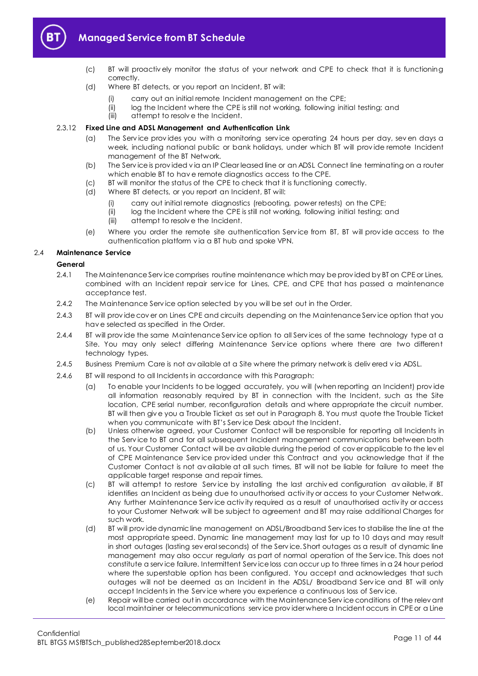

# **Managed Service from BT Schedule**

- (c) BT will proactiv ely monitor the status of your network and CPE to check that it is functioning correctly.
- (d) Where BT detects, or you report an Incident, BT will:
	- (i) carry out an initial remote Incident management on the CPE;
	- (ii) log the Incident where the CPE is still not working, following initial testing; and
	- (iii) attempt to resolv e the Incident.

#### 2.3.12 **Fixed Line and ADSL Management and Authentication Link**

- (a) The Serv ice prov ides you with a monitoring serv ice operating 24 hours per day, sev en days a week, including national public or bank holidays, under which BT will prov ide remote Incident management of the BT Network.
- (b) The Serv ice is prov ided v ia an IP Clear leased line or an ADSL Connect line terminating on a router which enable BT to hav e remote diagnostics access to the CPE.
- (c) BT will monitor the status of the CPE to check that it is functioning correctly.
- (d) Where BT detects, or you report an Incident, BT will:
	- (i) carry out initial remote diagnostics (rebooting, power retests) on the CPE;
	- (ii) log the Incident where the CPE is still not working, following initial testing; and
	- (iii) attempt to resolv e the Incident.
- (e) Where you order the remote site authentication Serv ice from BT, BT will prov ide access to the authentication platform v ia a BT hub and spoke VPN.

#### 2.4 **Maintenance Service**

#### **General**

- 2.4.1 The Maintenance Serv ice comprises routine maintenance which may be prov ided by BT on CPE or Lines, combined with an Incident repair serv ice for Lines, CPE, and CPE that has passed a maintenance acceptance test.
- 2.4.2 The Maintenance Serv ice option selected by you will be set out in the Order.
- 2.4.3 BT will prov ide cov er on Lines CPE and circuits depending on the Maintenance Serv ice option that you hav e selected as specified in the Order.
- 2.4.4 BT will prov ide the same Maintenance Serv ice option to all Serv ices of the same technology type at a Site. You may only select differing Maintenance Serv ice options where there are two different technology types.
- 2.4.5 Business Premium Care is not av ailable at a Site where the primary network is deliv ered v ia ADSL.
- 2.4.6 BT will respond to all Incidents in accordance with this Paragraph:
	- (a) To enable your Incidents to be logged accurately, you will (when reporting an Incident) prov ide all information reasonably required by BT in connection with the Incident, such as the Site location, CPE serial number, reconfiguration details and where appropriate the circuit number. BT will then giv e you a Trouble Ticket as set out in Paragraph [8.](#page-28-0) You must quote the Trouble Ticket when you communicate with BT's Serv ice Desk about the Incident.
	- (b) Unless otherwise agreed, your Customer Contact will be responsible for reporting all Incidents in the Serv ice to BT and for all subsequent Incident management communications between both of us. Your Customer Contact will be av ailable during the period of cov er applicable to the lev el of CPE Maintenance Serv ice prov ided under this Contract and you acknowledge that if the Customer Contact is not av ailable at all such times, BT will not be liable for failure to meet the applicable target response and repair times.
	- (c) BT will attempt to restore Serv ice by installing the last archiv ed configuration av ailable, if BT identifies an Incident as being due to unauthorised activ ity or access to your Customer Network. Any further Maintenance Serv ice activ ity required as a result of unauthorised activ ity or access to your Customer Network will be subject to agreement and BT may raise additional Charges for such work.
	- (d) BT will prov ide dynamic line management on ADSL/Broadband Serv ices to stabilise the line at the most appropriate speed. Dynamic line management may last for up to 10 days and may result in short outages (lasting sev eral seconds) of the Serv ice. Short outages as a result of dynamic line management may also occur regularly as part of normal operation of the Serv ice. This does not constitute a serv ice failure. Intermittent Serv ice loss can occur up to three times in a 24 hour period where the superstable option has been configured. You accept and acknowledges that such outages will not be deemed as an Incident in the ADSL/ Broadband Service and BT will only accept Incidents in the Serv ice where you experience a continuous loss of Serv ice.
	- (e) Repair will be carried out in accordance with the Maintenance Serv ice conditions of the relev ant local maintainer or telecommunications serv ice prov ider where a Incident occurs in CPE or a Line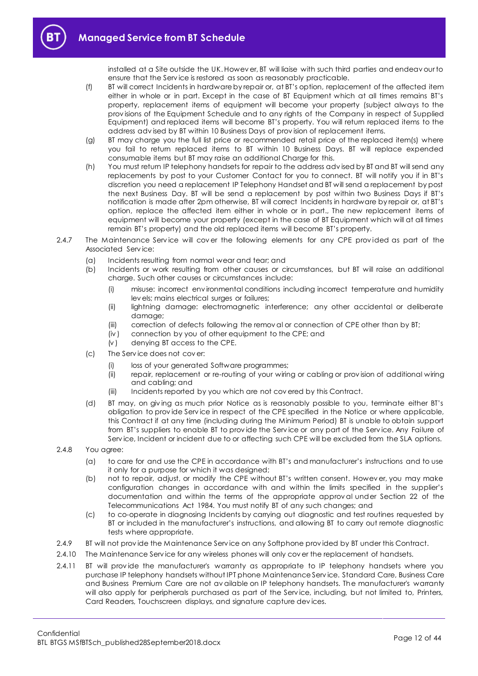

installed at a Site outside the UK. Howev er, BT will liaise with such third parties and endeav our to ensure that the Serv ice is restored as soon as reasonably practicable.

- (f) BT will correct Incidents in hardware by repair or, at BT's option, replacement of the affected item either in whole or in part. Except in the case of BT Equipment which at all times remains BT's property, replacement items of equipment will become your property (subject always to the prov isions of the Equipment Schedule and to any rights of the Company in respect of Supplied Equipment) and replaced items will become BT's property. You will return replaced items to the address adv ised by BT within 10 Business Days of prov ision of replacement items.
- (g) BT may charge you the full list price or recommended retail price of the replaced item(s) where you fail to return replaced items to BT within 10 Business Days. BT will replace expended consumable items but BT may raise an additional Charge for this.
- (h) You must return IP telephony handsets for repair to the address adv ised by BT and BT will send any replacements by post to your Customer Contact for you to connect. BT will notify you if in BT's discretion you need a replacement IP Telephony Handset and BT will send a replacement by post the next Business Day. BT will be send a replacement by post within two Business Days if BT's notification is made after 2pm otherwise, BT will correct Incidents in hardware by repair or, at BT's option, replace the affected item either in whole or in part., The new replacement items of equipment will become your property (except in the case of BT Equipment which will at all times remain BT's property) and the old replaced items will become BT's property.
- 2.4.7 The Maintenance Service will cover the following elements for any CPE provided as part of the Associated Serv ice:
	- (a) Incidents resulting from normal wear and tear; and
	- (b) Incidents or work resulting from other causes or circumstances, but BT will raise an additional charge. Such other causes or circumstances include:
		- (i) misuse: incorrect env ironmental conditions including incorrect temperature and humidity lev els; mains electrical surges or failures;
		- (ii) lightning damage: electromagnetic interference; any other accidental or deliberate damage;
		- (iii) correction of defects following the remov al or connection of CPE other than by BT;
		- (iv ) connection by you of other equipment to the CPE; and
		- $(v)$  denying BT access to the CPE.
	- (c) The Serv ice does not cov er:
		- (i) loss of your generated Software programmes;
		- (ii) repair, replacement or re-routing of your wiring or cabling or prov ision of additional wiring and cabling; and
		- (iii) Incidents reported by you which are not covered by this Contract.
	- (d) BT may, on giv ing as much prior Notice as is reasonably possible to you, terminate either BT's obligation to prov ide Serv ice in respect of the CPE specified in the Notice or where applicable, this Contract if at any time (including during the Minimum Period) BT is unable to obtain support from BT's suppliers to enable BT to prov ide the Serv ice or any part of the Serv ice. Any Failure of Serv ice, Incident or incident due to or affecting such CPE will be excluded from the SLA options.
- 2.4.8 You agree:
	- (a) to care for and use the CPE in accordance with BT's and manufacturer's instructions and to use it only for a purpose for which it was designed;
	- (b) not to repair, adjust, or modify the CPE without BT's written consent. Howev er, you may make configuration changes in accordance with and within the limits specified in the supplier's documentation and within the terms of the appropriate approv al under Section 22 of the Telecommunications Act 1984. You must notify BT of any such changes; and
	- (c) to co-operate in diagnosing Incidents by carrying out diagnostic and test routines requested by BT or included in the manufacturer's instructions, and allowing BT to carry out remote diagnostic tests where appropriate.
- 2.4.9 BT will not prov ide the Maintenance Serv ice on any Softphone prov ided by BT under this Contract.
- 2.4.10 The Maintenance Serv ice for any wireless phones will only cov er the replacement of handsets.
- 2.4.11 BT will prov ide the manufacturer's warranty as appropriate to IP telephony handsets where you purchase IP telephony handsets without IPT phone Maintenance Serv ice. Standard Care, Business Care and Business Premium Care are not av ailable on IP telephony handsets. The manufacturer's warranty will also apply for peripherals purchased as part of the Serv ice, including, but not limited to, Printers, Card Readers, Touchscreen displays, and signature capture dev ices.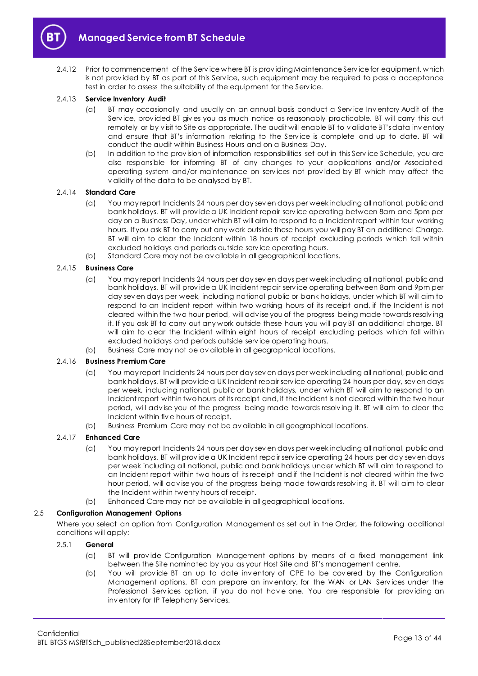

2.4.12 Prior to commencement of the Serv ice where BT is prov iding Maintenance Serv ice for equipment, which is not prov ided by BT as part of this Serv ice, such equipment may be required to pass a acceptance test in order to assess the suitability of the equipment for the Serv ice.

## 2.4.13 **Service Inventory Audit**

- (a) BT may occasionally and usually on an annual basis conduct a Serv ice Inv entory Audit of the Service, provided BT gives you as much notice as reasonably practicable. BT will carry this out remotely or by v isit to Site as appropriate. The audit will enable BT to v alidate BT's data inv entory and ensure that BT's information relating to the Serv ice is complete and up to date. BT will conduct the audit within Business Hours and on a Business Day.
- (b) In addition to the prov ision of information responsibilities set out in this Serv ice Schedule, you are also responsible for informing BT of any changes to your applications and/or Associated operating system and/or maintenance on serv ices not prov ided by BT which may affect the v alidity of the data to be analysed by BT.

## 2.4.14 **Standard Care**

- (a) You may report Incidents 24 hours per day sev en days per week including all national, public and bank holidays. BT will prov ide a UK Incident repair serv ice operating between 8am and 5pm per day on a Business Day, under which BT will aim to respond to a Incident report within four working hours. If you ask BT to carry out any work outside these hours you will pay BT an additional Charge. BT will aim to clear the Incident within 18 hours of receipt excluding periods which fall within excluded holidays and periods outside serv ice operating hours.
- (b) Standard Care may not be av ailable in all geographical locations.

#### 2.4.15 **Business Care**

- (a) You may report Incidents 24 hours per day sev en days per week including all national, public and bank holidays. BT will prov ide a UK Incident repair serv ice operating between 8am and 9pm per day sev en days per week, including national public or bank holidays, under which BT will aim to respond to an Incident report within two working hours of its receipt and, if the Incident is not cleared within the two hour period, will adv ise you of the progress being made towards resolv ing it. If you ask BT to carry out any work outside these hours you will pay BT an additional charge. BT will aim to clear the Incident within eight hours of receipt excluding periods which fall within excluded holidays and periods outside serv ice operating hours.
- (b) Business Care may not be av ailable in all geographical locations.

## 2.4.16 **Business Premium Care**

- (a) You may report Incidents 24 hours per day sev en days per week including all national, public and bank holidays. BT will prov ide a UK Incident repair serv ice operating 24 hours per day, sev en days per week, including national, public or bank holidays, under which BT will aim to respond to an Incident report within two hours of its receipt and, if the Incident is not cleared within the two hour period, will adv ise you of the progress being made towards resolv ing it. BT will aim to clear the Incident within fiv e hours of receipt.
- (b) Business Premium Care may not be av ailable in all geographical locations.

## 2.4.17 **Enhanced Care**

- (a) You may report Incidents 24 hours per day sev en days per week including all national, public and bank holidays. BT will prov ide a UK Incident repair serv ice operating 24 hours per day sev en days per week including all national, public and bank holidays under which BT will aim to respond to an Incident report within two hours of its receipt and if the Incident is not cleared within the two hour period, will adv ise you of the progress being made towards resolv ing it. BT will aim to clear the Incident within twenty hours of receipt.
- (b) Enhanced Care may not be av ailable in all geographical locations.

#### 2.5 **Configuration Management Options**

Where you select an option from Configuration Management as set out in the Order, the following additional conditions will apply:

#### 2.5.1 **General**

- (a) BT will prov ide Configuration Management options by means of a fixed management link between the Site nominated by you as your Host Site and BT's management centre.
- (b) You will prov ide BT an up to date inv entory of CPE to be cov ered by the Configuration Management options. BT can prepare an inv entory, for the WAN or LAN Serv ices under the Professional Services option, if you do not have one. You are responsible for providing an inv entory for IP Telephony Serv ices.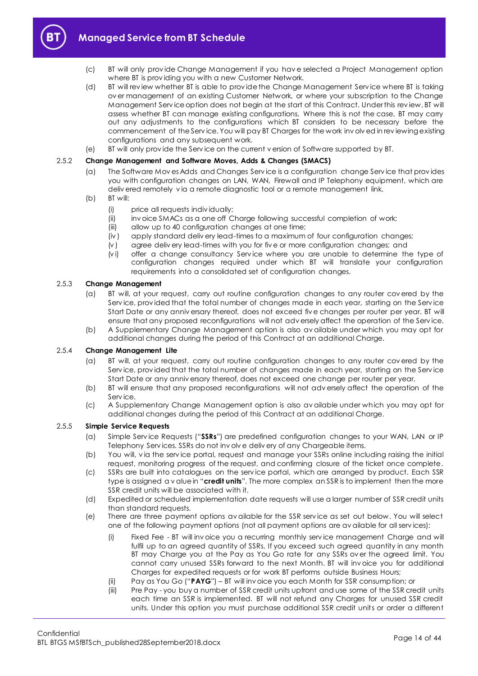

- (c) BT will only prov ide Change Management if you hav e selected a Project Management option where BT is prov iding you with a new Customer Network.
- (d) BT will rev iew whether BT is able to prov ide the Change Management Serv ice where BT is taking ov er management of an existing Customer Network, or where your subscription to the Change Management Serv ice option does not begin at the start of this Contract. Under this rev iew, BT will assess whether BT can manage existing configurations. Where this is not the case, BT may carry out any adjustments to the configurations which BT considers to be necessary before the commencement of the Serv ice. You will pay BT Charges for the work inv olv ed in rev iewing existing configurations and any subsequent work.
- (e) BT will only prov ide the Serv ice on the current v ersion of Software supported by BT.

## 2.5.2 **Change Management and Software Moves, Adds & Changes (SMACS)**

- (a) The Software Mov es Adds and Changes Serv ice is a configuration change Serv ice that prov ides you with configuration changes on LAN, WAN, Firewall and IP Telephony equipment, which are deliv ered remotely v ia a remote diagnostic tool or a remote management link.
- (b) BT will:
	- (i) price all requests indiv idually;
	- (ii) inv oice SMACs as a one off Charge following successful completion of work;
	- (iii) allow up to 40 configuration changes at one time;
	- (iv ) apply standard deliv ery lead-times to a maximum of four configuration changes;
	- (v ) agree deliv ery lead-times with you for fiv e or more configuration changes; and
	- (v i) offer a change consultancy Serv ice where you are unable to determine the type of configuration changes required under which BT will translate your configuration requirements into a consolidated set of configuration changes.

## 2.5.3 **Change Management**

- (a) BT will, at your request, carry out routine configuration changes to any router cov ered by the Serv ice, prov ided that the total number of changes made in each year, starting on the Serv ice Start Date or any anniv ersary thereof, does not exceed fiv e changes per router per year. BT will ensure that any proposed reconfigurations will not adv ersely affect the operation of the Serv ice.
- (b) A Supplementary Change Management option is also av ailable under which you may opt for additional changes during the period of this Contract at an additional Charge.

## 2.5.4 **Change Management Lite**

- (a) BT will, at your request, carry out routine configuration changes to any router cov ered by the Serv ice, prov ided that the total number of changes made in each year, starting on the Serv ice Start Date or any anniv ersary thereof, does not exceed one change per router per year.
- (b) BT will ensure that any proposed reconfigurations will not adv ersely affect the operation of the Serv ice.
- (c) A Supplementary Change Management option is also av ailable under which you may opt for additional changes during the period of this Contract at an additional Charge.

## <span id="page-13-1"></span>2.5.5 **Simple Service Requests**

- (a) Simple Serv ice Requests ("**SSRs**") are predefined configuration changes to your WAN, LAN or IP Telephony Serv ices. SSRs do not inv olv e deliv ery of any Chargeable items.
- (b) You will, v ia the serv ice portal, request and manage your SSRs online including raising the initial request, monitoring progress of the request, and confirming closure of the ticket once complete.
- (c) SSRs are built into catalogues on the serv ice portal, which are arranged by product. Each SSR type is assigned a v alue in "**credit units**". The more complex an SSR is to implement then the more SSR credit units will be associated with it.
- (d) Expedited or scheduled implementation date requests will use a larger number of SSR credit units than standard requests.
- <span id="page-13-0"></span>(e) There are three payment options av ailable for the SSR serv ice as set out below. You will select one of the following payment options (not all payment options are av ailable for all serv ices):
	- (i) Fixed Fee BT will inv oice you a recurring monthly serv ice management Charge and will fulfil up to an agreed quantity of SSRs. If you exceed such agreed quantity in any month BT may Charge you at the Pay as You Go rate for any SSRs ov er the agreed limit. You cannot carry unused SSRs forward to the next Month. BT will inv oice you for additional Charges for expedited requests or for work BT performs outside Business Hours;
	- (ii) Pay as You Go ("**PAYG**") BT will inv oice you each Month for SSR consumption; or
	- (iii) Pre Pay you buy a number of SSR credit units upfront and use some of the SSR credit units each time an SSR is implemented. BT will not refund any Charges for unused SSR credit units. Under this option you must purchase additional SSR credit units or order a different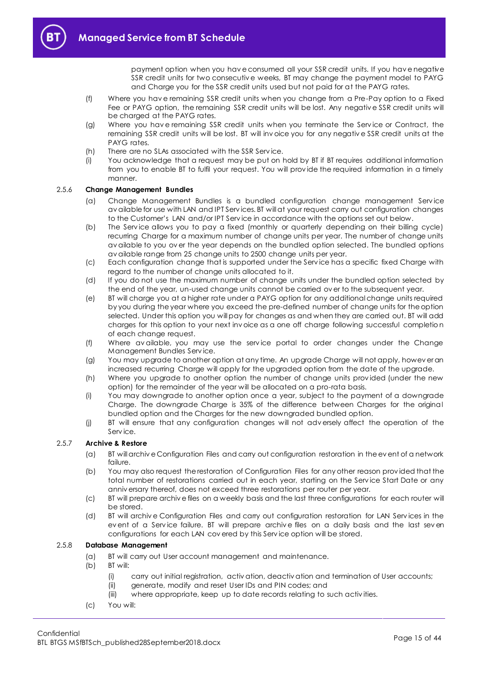payment option when you hav e consumed all your SSR credit units. If you hav e negative SSR credit units for two consecutiv e weeks, BT may change the payment model to PAYG and Charge you for the SSR credit units used but not paid for at the PAYG rates.

- (f) Where you hav e remaining SSR credit units when you change from a Pre-Pay option to a Fixed Fee or PAYG option, the remaining SSR credit units will be lost. Any negativ e SSR credit units will be charged at the PAYG rates.
- (g) Where you hav e remaining SSR credit units when you terminate the Serv ice or Contract, the remaining SSR credit units will be lost. BT will inv oice you for any negativ e SSR credit units at the PAYG rates.
- (h) There are no SLAs associated with the SSR Service.
- (i) You acknowledge that a request may be put on hold by BT if BT requires additional information from you to enable BT to fulfil your request. You will prov ide the required information in a timely manner.

## 2.5.6 **Change Management Bundles**

- (a) Change Management Bundles is a bundled configuration change management Serv ice av ailable for use with LAN and IPT Serv ices. BT will at your request carry out configuration changes to the Customer's LAN and/or IPT Serv ice in accordance with the options set out below.
- (b) The Serv ice allows you to pay a fixed (monthly or quarterly depending on their billing cycle) recurring Charge for a maximum number of change units per year. The number of change units av ailable to you ov er the year depends on the bundled option selected. The bundled options av ailable range from 25 change units to 2500 change units per year.
- (c) Each configuration change that is supported under the Serv ice has a specific fixed Charge with regard to the number of change units allocated to it.
- (d) If you do not use the maximum number of change units under the bundled option selected by the end of the year, un-used change units cannot be carried ov er to the subsequent year.
- (e) BT will charge you at a higher rate under a PAYG option for any additional change units required by you during the year where you exceed the pre-defined number of change units for the option selected. Under this option you will pay for changes as and when they are carried out. BT will add charges for this option to your next inv oice as a one off charge following successful completio n of each change request.
- (f) Where av ailable, you may use the serv ice portal to order changes under the Change Management Bundles Serv ice.
- (g) You may upgrade to another option at any time. An upgrade Charge will not apply, howev er an increased recurring Charge will apply for the upgraded option from the date of the upgrade.
- (h) Where you upgrade to another option the number of change units prov ided (under the new option) for the remainder of the year will be allocated on a pro-rata basis.
- (i) You may downgrade to another option once a year, subject to the payment of a downgrade Charge. The downgrade Charge is 35% of the difference between Charges for the original bundled option and the Charges for the new downgraded bundled option.
- (j) BT will ensure that any configuration changes will not adv ersely affect the operation of the Serv ice.

## 2.5.7 **Archive & Restore**

- (a) BT will archiv e Configuration Files and carry out configuration restoration in the ev ent of a network failure.
- (b) You may also request the restoration of Configuration Files for any other reason prov ided that the total number of restorations carried out in each year, starting on the Service Start Date or any anniv ersary thereof, does not exceed three restorations per router per year.
- (c) BT will prepare archiv e files on a weekly basis and the last three configurations for each router will be stored.
- (d) BT will archiv e Configuration Files and carry out configuration restoration for LAN Serv ices in the ev ent of a Serv ice failure. BT will prepare archiv e files on a daily basis and the last sev en configurations for each LAN cov ered by this Serv ice option will be stored.

## 2.5.8 **Database Management**

- (a) BT will carry out User account management and maintenance.
- (b) BT will:
	- (i) carry out initial registration, activ ation, deactiv ation and termination of User accounts;
	- (ii) generate, modify and reset User IDs and PIN codes; and
	- (iii) where appropriate, keep up to date records relating to such activ ities.
- (c) You will: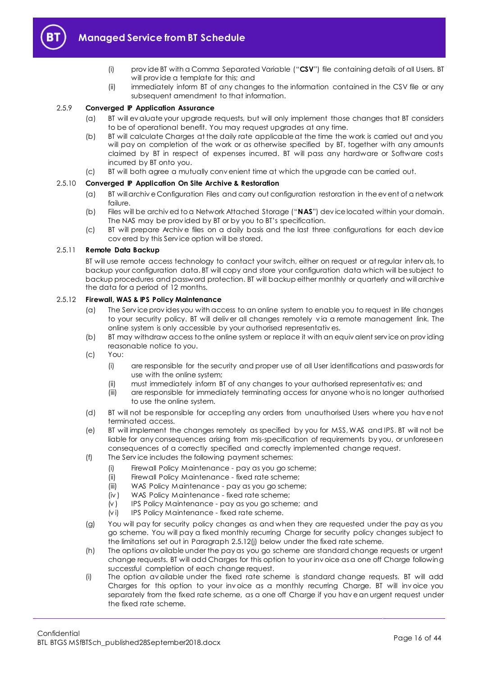<span id="page-15-0"></span>

- (i) prov ide BT with a Comma Separated Variable ("**CSV**") file containing details of all Users. BT will prov ide a template for this; and
- (ii) immediately inform BT of any changes to the information contained in the CSV file or any subsequent amendment to that information.

#### 2.5.9 **Converged IP Application Assurance**

- (a) BT will ev aluate your upgrade requests, but will only implement those changes that BT considers to be of operational benefit. You may request upgrades at any time.
- (b) BT will calculate Charges at the daily rate applicable at the time the work is carried out and you will pay on completion of the work or as otherwise specified by BT, together with any amounts claimed by BT in respect of expenses incurred. BT will pass any hardware or Software costs incurred by BT onto you.
- (c) BT will both agree a mutually conv enient time at which the upgrade can be carried out.

## <span id="page-15-1"></span>2.5.10 **Converged IP Application On Site Archive & Restoration**

- (a) BT will archiv e Configuration Files and carry out configuration restoration in the ev ent of a network failure.
- (b) Files will be archiv ed to a Network Attached Storage ("**NAS**") dev ice located within your domain. The NAS may be prov ided by BT or by you to BT's specification.
- (c) BT will prepare Archiv e files on a daily basis and the last three configurations for each dev ice cov ered by this Serv ice option will be stored.

#### 2.5.11 **Remote Data Backup**

BT will use remote access technology to contact your switch, either on request or at regular interv als, to backup your configuration data. BT will copy and store your configuration data which will be subject to backup procedures and password protection. BT will backup either monthly or quarterly and will archive the data for a period of 12 months.

#### 2.5.12 **Firewall, WAS & IPS Policy Maintenance**

- (a) The Serv ice prov ides you with access to an online system to enable you to request in life changes to your security policy. BT will deliv er all changes remotely v ia a remote management link. The online system is only accessible by your authorised representativ es.
- (b) BT may withdraw access to the online system or replace it with an equiv alent serv ice on prov iding reasonable notice to you.
- (c) You:
	- (i) are responsible for the security and proper use of all User identifications and passwords for use with the online system;
	- (ii) must immediately inform BT of any changes to your authorised representativ es; and
	- (iii) are responsible for immediately terminating access for anyone who is no longer authorised to use the online system.
- (d) BT will not be responsible for accepting any orders from unauthorised Users where you hav e not terminated access.
- (e) BT will implement the changes remotely as specified by you for MSS, WAS and IPS. BT will not be liable for any consequences arising from mis-specification of requirements by you, or unforeseen consequences of a correctly specified and correctly implemented change request.
- (f) The Serv ice includes the following payment schemes:
	- (i) Firewall Policy Maintenance pay as you go scheme;
	- (ii) Firewall Policy Maintenance fixed rate scheme;
	- (iii) WAS Policy Maintenance pay as you go scheme;
	- (iv ) WAS Policy Maintenance fixed rate scheme;
	- (v ) IPS Policy Maintenance pay as you go scheme; and
	- (v i) IPS Policy Maintenance fixed rate scheme.
- (g) You will pay for security policy changes as and when they are requested under the pay as you go scheme. You will pay a fixed monthly recurring Charge for security policy changes subject to the limitations set out in Paragraph [2.5.12\(j\)](#page-16-0) below under the fixed rate scheme.
- (h) The options av ailable under the pay as you go scheme are standard change requests or urgent change requests. BT will add Charges for this option to your inv oice as a one off Charge following successful completion of each change request.
- (i) The option av ailable under the fixed rate scheme is standard change requests. BT will add Charges for this option to your inv oice as a monthly recurring Charge. BT will inv oice you separately from the fixed rate scheme, as a one off Charge if you hav e an urgent request under the fixed rate scheme.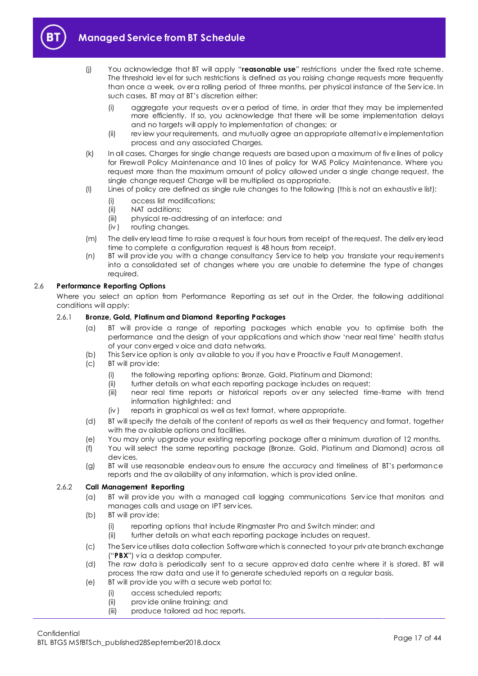<span id="page-16-0"></span>

- (j) You acknowledge that BT will apply "**reasonable use**" restrictions under the fixed rate scheme. The threshold lev el for such restrictions is defined as you raising change requests more frequently than once a week, overa rolling period of three months, per physical instance of the Service. In such cases, BT may at BT's discretion either:
	- (i) aggregate your requests ov er a period of time, in order that they may be implemented more efficiently. If so, you acknowledge that there will be some implementation delays and no targets will apply to implementation of changes; or
	- (ii) rev iew your requirements, and mutually agree an appropriate alternativ e implementation process and any associated Charges.
- (k) In all cases, Charges for single change requests are based upon a maximum of fiv e lines of policy for Firewall Policy Maintenance and 10 lines of policy for WAS Policy Maintenance. Where you request more than the maximum amount of policy allowed under a single change request, the single change request Charge will be multiplied as appropriate.
- (l) Lines of policy are defined as single rule changes to the following (this is not an exhaustiv e list):
	- (i) access list modifications;
	- (ii) NAT additions;
	- (iii) physical re-addressing of an interface; and
	- (iv ) routing changes.
- (m) The deliv ery lead time to raise a request is four hours from receipt of the request. The deliv ery lead time to complete a configuration request is 48 hours from receipt.
- (n) BT will prov ide you with a change consultancy Serv ice to help you translate your requirements into a consolidated set of changes where you are unable to determine the type of changes required.

## 2.6 **Performance Reporting Options**

Where you select an option from Performance Reporting as set out in the Order, the following additional conditions will apply:

## 2.6.1 **Bronze, Gold, Platinum and Diamond Reporting Packages**

- (a) BT will prov ide a range of reporting packages which enable you to optimise both the performance and the design of your applications and which show 'near real time' health status of your conv erged v oice and data networks.
- (b) This Serv ice option is only av ailable to you if you hav e Proactiv e Fault Management.
- (c) BT will prov ide:
	- (i) the following reporting options: Bronze, Gold, Platinum and Diamond;
	- (ii) further details on what each reporting package includes on request;
	- (iii) near real time reports or historical reports ov er any selected time-frame with trend information highlighted; and
	- (iv ) reports in graphical as well as text format, where appropriate.
- (d) BT will specify the details of the content of reports as well as their frequency and format, together with the av ailable options and facilities.
- (e) You may only upgrade your existing reporting package after a minimum duration of 12 months.
- (f) You will select the same reporting package (Bronze, Gold, Platinum and Diamond) across all dev ices.
- (g) BT will use reasonable endeav ours to ensure the accuracy and timeliness of BT's performance reports and the av ailability of any information, which is prov ided online.

## 2.6.2 **Call Management Reporting**

- (a) BT will prov ide you with a managed call logging communications Serv ice that monitors and manages calls and usage on IPT serv ices.
- (b) BT will prov ide:
	- (i) reporting options that include Ringmaster Pro and Switch minder; and
	- (ii) further details on what each reporting package includes on request.
- <span id="page-16-1"></span>(c) The Serv ice utilises data collection Software which is connected to your priv ate branch exchange ("**PBX**") v ia a desktop computer.
- (d) The raw data is periodically sent to a secure approv ed data centre where it is stored. BT will process the raw data and use it to generate scheduled reports on a regular basis.
- (e) BT will prov ide you with a secure web portal to:
	- (i) access scheduled reports;
	- (ii) prov ide online training; and
	- (iii) produce tailored ad hoc reports.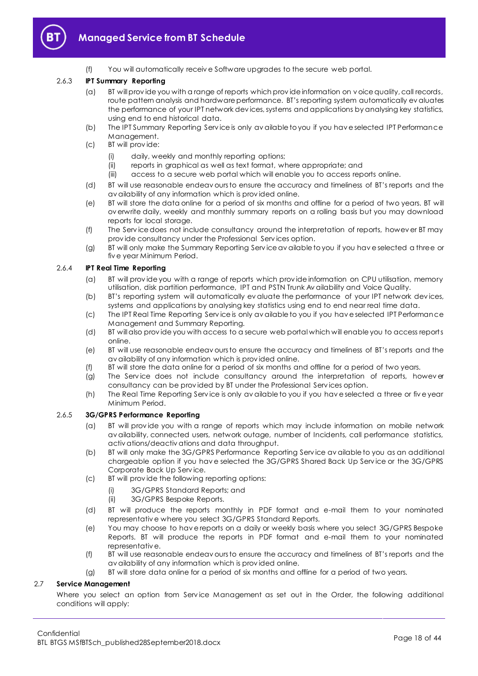

(f) You will automatically receiv e Software upgrades to the secure web portal.

## 2.6.3 **IPT Summary Reporting**

- (a) BT will prov ide you with a range of reports which prov ide information on v oice quality, call records, route pattern analysis and hardware performance. BT's reporting system automatically ev aluates the performance of your IPT network dev ices, systems and applications by analysing key statistics, using end to end historical data.
- (b) The IPT Summary Reporting Serv ice is only av ailable to you if you hav e selected IPT Performance Management.
- (c) BT will prov ide:
	- (i) daily, weekly and monthly reporting options;
	- (ii) reports in graphical as well as text format, where appropriate; and
	- (iii) access to a secure web portal which will enable you to access reports online.
- (d) BT will use reasonable endeav ours to ensure the accuracy and timeliness of BT's reports and the av ailability of any information which is prov ided online.
- (e) BT will store the data online for a period of six months and offline for a period of two years. BT will ov erwrite daily, weekly and monthly summary reports on a rolling basis but you may download reports for local storage.
- (f) The Serv ice does not include consultancy around the interpretation of reports, howev er BT may prov ide consultancy under the Professional Serv ices option.
- (g) BT will only make the Summary Reporting Serv ice av ailable to you if you hav e selected a three or fiv e year Minimum Period.

## 2.6.4 **IPT Real Time Reporting**

- (a) BT will prov ide you with a range of reports which prov ide information on CPU utilisation, memory utilisation, disk partition performance, IPT and PSTN Trunk Av ailability and Voice Quality.
- (b) BT's reporting system will automatically ev aluate the performance of your IPT network dev ices, systems and applications by analysing key statistics using end to end near real time data.
- (c) The IPT Real Time Reporting Serv ice is only av ailable to you if you hav e selected IPT Performance Management and Summary Reporting.
- (d) BT will also prov ide you with access to a secure web portal which will enable you to access reports online.
- (e) BT will use reasonable endeav ours to ensure the accuracy and timeliness of BT's reports and the av ailability of any information which is prov ided online.
- (f) BT will store the data online for a period of six months and offline for a period of two years.
- (g) The Service does not include consultancy around the interpretation of reports, however consultancy can be prov ided by BT under the Professional Serv ices option.
- (h) The Real Time Reporting Serv ice is only av ailable to you if you hav e selected a three or fiv e year Minimum Period.

## 2.6.5 **3G/GPRS Performance Reporting**

- (a) BT will prov ide you with a range of reports which may include information on mobile network av ailability, connected users, network outage, number of Incidents, call performance statistics, activ ations/deactiv ations and data throughput.
- (b) BT will only make the 3G/GPRS Performance Reporting Serv ice av ailable to you as an additional chargeable option if you hav e selected the 3G/GPRS Shared Back Up Serv ice or the 3G/GPRS Corporate Back Up Serv ice.
- (c) BT will prov ide the following reporting options:
	- (i) 3G/GPRS Standard Reports; and
	- (ii) 3G/GPRS Bespoke Reports.
- (d) BT will produce the reports monthly in PDF format and e-mail them to your nominated representativ e where you select 3G/GPRS Standard Reports.
- (e) You may choose to hav e reports on a daily or weekly basis where you select 3G/GPRS Bespoke Reports. BT will produce the reports in PDF format and e-mail them to your nominated representativ e.
- (f) BT will use reasonable endeav ours to ensure the accuracy and timeliness of BT's reports and the av ailability of any information which is prov ided online.
- (g) BT will store data online for a period of six months and offline for a period of two years.

## 2.7 **Service Management**

Where you select an option from Service Management as set out in the Order, the following additional conditions will apply: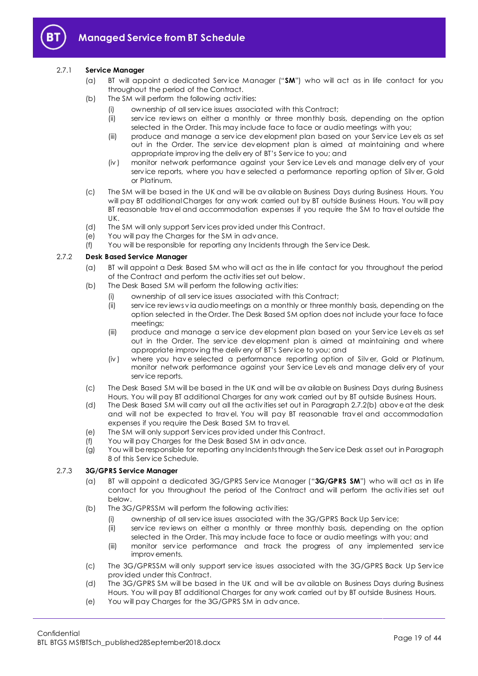

## <span id="page-18-3"></span><span id="page-18-2"></span>2.7.1 **Service Manager**

- (a) BT will appoint a dedicated Serv ice Manager ("**SM**") who will act as in life contact for you throughout the period of the Contract.
- (b) The SM will perform the following activities:
	- (i) ownership of all serv ice issues associated with this Contract;
		- (ii) serv ice rev iews on either a monthly or three monthly basis, depending on the option selected in the Order. This may include face to face or audio meetings with you;
		- (iii) produce and manage a serv ice dev elopment plan based on your Serv ice Lev els as set out in the Order. The serv ice dev elopment plan is aimed at maintaining and where appropriate improv ing the deliv ery of BT's Serv ice to you; and
	- (iv ) monitor network performance against your Serv ice Lev els and manage deliv ery of your serv ice reports, where you hav e selected a performance reporting option of Silv er, Gold or Platinum.
- (c) The SM will be based in the UK and will be av ailable on Business Days during Business Hours. You will pay BT additional Charges for any work carried out by BT outside Business Hours. You will pay BT reasonable trav el and accommodation expenses if you require the SM to trav el outside the UK.
- (d) The SM will only support Serv ices prov ided under this Contract.
- (e) You will pay the Charges for the SM in adv ance.
- (f) You will be responsible for reporting any Incidents through the Serv ice Desk.

## <span id="page-18-1"></span><span id="page-18-0"></span>2.7.2 **Desk Based Service Manager**

- (a) BT will appoint a Desk Based SM who will act as the in life contact for you throughout the period of the Contract and perform the activ ities set out below.
- (b) The Desk Based SM will perform the following activ ities:
	- (i) ownership of all serv ice issues associated with this Contract;
	- (ii) serv ice rev iews v ia audio meetings on a monthly or three monthly basis, depending on the option selected in the Order. The Desk Based SM option does not include your face to face meetings;
	- (iii) produce and manage a serv ice dev elopment plan based on your Serv ice Lev els as set out in the Order. The serv ice dev elopment plan is aimed at maintaining and where appropriate improv ing the deliv ery of BT's Serv ice to you; and
	- (iv ) where you hav e selected a performance reporting option of Silv er, Gold or Platinum, monitor network performance against your Serv ice Lev els and manage deliv ery of your serv ice reports.
- (c) The Desk Based SM will be based in the UK and will be av ailable on Business Days during Business Hours. You will pay BT additional Charges for any work carried out by BT outside Business Hours.
- (d) The Desk Based SM will carry out all the activ ities set out in Paragraph [2.7.2\(b\)](#page-18-0) abov e at the desk and will not be expected to trav el. You will pay BT reasonable trav el and accommodation expenses if you require the Desk Based SM to trav el.
- (e) The SM will only support Serv ices prov ided under this Contract.
- (f) You will pay Charges for the Desk Based SM in adv ance.
- (g) You will be responsible for reporting any Incidents through the Serv ice Desk as set out in Paragraph [8](#page-28-0) of this Serv ice Schedule.

## <span id="page-18-4"></span>2.7.3 **3G/GPRS Service Manager**

- (a) BT will appoint a dedicated 3G/GPRS Serv ice Manager ("**3G/GPRS SM**") who will act as in life contact for you throughout the period of the Contract and will perform the activ ities set out below.
- (b) The 3G/GPRSSM will perform the following activ ities:
	- (i) ownership of all serv ice issues associated with the 3G/GPRS Back Up Serv ice;
	- (ii) serv ice rev iews on either a monthly or three monthly basis, depending on the option selected in the Order. This may include face to face or audio meetings with you; and
	- (iii) monitor serv ice performance and track the progress of any implemented serv ice improv ements.
- (c) The 3G/GPRSSM will only support serv ice issues associated with the 3G/GPRS Back Up Serv ice prov ided under this Contract.
- (d) The 3G/GPRS SM will be based in the UK and will be av ailable on Business Days during Business Hours. You will pay BT additional Charges for any work carried out by BT outside Business Hours.
- (e) You will pay Charges for the 3G/GPRS SM in adv ance.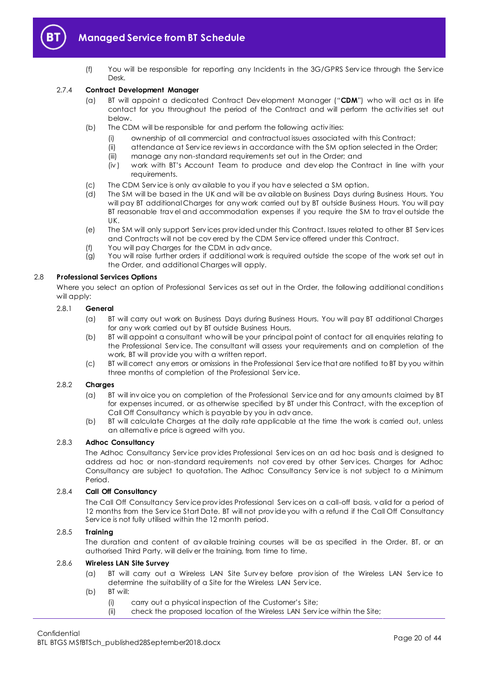

(f) You will be responsible for reporting any Incidents in the 3G/GPRS Serv ice through the Serv ice Desk.

## <span id="page-19-1"></span><span id="page-19-0"></span>2.7.4 **Contract Development Manager**

- (a) BT will appoint a dedicated Contract Dev elopment Manager ("**CDM**") who will act as in life contact for you throughout the period of the Contract and will perform the activ ities set out below.
- (b) The CDM will be responsible for and perform the following activ ities:
	- (i) ownership of all commercial and contractual issues associated with this Contract;
	- (ii) attendance at Serv ice rev iews in accordance with the SM option selected in the Order;
	- (iii) manage any non-standard requirements set out in the Order; and
	- (iv ) work with BT's Account Team to produce and dev elop the Contract in line with your requirements.
- (c) The CDM Serv ice is only av ailable to you if you hav e selected a SM option.
- (d) The SM will be based in the UK and will be av ailable on Business Days during Business Hours. You will pay BT additional Charges for any work carried out by BT outside Business Hours. You will pay BT reasonable trav el and accommodation expenses if you require the SM to trav el outside the UK.
- (e) The SM will only support Serv ices prov ided under this Contract. Issues related to other BT Serv ices and Contracts will not be cov ered by the CDM Serv ice offered under this Contract.
- (f) You will pay Charges for the CDM in adv ance.
- (g) You will raise further orders if additional work is required outside the scope of the work set out in the Order, and additional Charges will apply.

## 2.8 **Professional Services Options**

Where you select an option of Professional Services as set out in the Order, the following additional conditions will apply:

## 2.8.1 **General**

- (a) BT will carry out work on Business Days during Business Hours. You will pay BT additional Charges for any work carried out by BT outside Business Hours.
- (b) BT will appoint a consultant who will be your principal point of contact for all enquiries relating to the Professional Serv ice. The consultant will assess your requirements and on completion of the work, BT will prov ide you with a written report.
- (c) BT will correct any errors or omissions in the Professional Serv ice that are notified to BT by you within three months of completion of the Professional Serv ice.

## 2.8.2 **Charges**

- (a) BT will inv oice you on completion of the Professional Serv ice and for any amounts claimed by BT for expenses incurred, or as otherwise specified by BT under this Contract, with the exception of Call Off Consultancy which is payable by you in adv ance.
- (b) BT will calculate Charges at the daily rate applicable at the time the work is carried out, unless an alternativ e price is agreed with you.

## 2.8.3 **Adhoc Consultancy**

The Adhoc Consultancy Serv ice prov ides Professional Serv ices on an ad hoc basis and is designed to address ad hoc or non-standard requirements not cov ered by other Serv ices. Charges for Adhoc Consultancy are subject to quotation. The Adhoc Consultancy Service is not subject to a Minimum Period.

## 2.8.4 **Call Off Consultancy**

The Call Off Consultancy Serv ice prov ides Professional Serv ices on a call-off basis, v alid for a period of 12 months from the Serv ice Start Date. BT will not prov ide you with a refund if the Call Off Consultancy Serv ice is not fully utilised within the 12 month period.

## 2.8.5 **Training**

The duration and content of av ailable training courses will be as specified in the Order. BT, or an authorised Third Party, will deliv er the training, from time to time.

## 2.8.6 **Wireless LAN Site Survey**

- (a) BT will carry out a Wireless LAN Site Survey before provision of the Wireless LAN Service to determine the suitability of a Site for the Wireless LAN Serv ice.
- (b) BT will:
	- (i) carry out a physical inspection of the Customer's Site;
	- (ii) check the proposed location of the Wireless LAN Serv ice within the Site;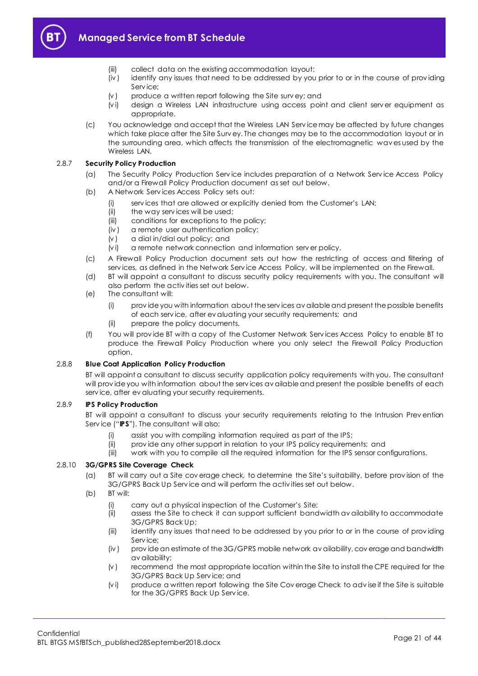



- (iii) collect data on the existing accommodation layout;
- (iv ) identify any issues that need to be addressed by you prior to or in the course of prov iding Service:
- $(v)$  produce a written report following the Site survey; and
- (v i) design a Wireless LAN infrastructure using access point and client serv er equipment as appropriate.
- (c) You acknowledge and accept that the Wireless LAN Serv ice may be affected by future changes which take place after the Site Surv ey. The changes may be to the accommodation layout or in the surrounding area, which affects the transmission of the electromagnetic wav es used by the Wireless LAN.

## 2.8.7 **Security Policy Production**

- (a) The Security Policy Production Serv ice includes preparation of a Network Serv ice Access Policy and/or a Firewall Policy Production document as set out below.
- (b) A Network Serv ices Access Policy sets out:
	- (i) serv ices that are allowed or explicitly denied from the Customer's LAN;
	- (ii) the way services will be used;
	- (iii) conditions for exceptions to the policy;
	- (iv ) a remote user authentication policy;
	- (v ) a dial in/dial out policy; and
	- (v i) a remote network connection and information serv er policy.
- (c) A Firewall Policy Production document sets out how the restricting of access and filtering of serv ices, as defined in the Network Serv ice Access Policy, will be implemented on the Firewall.
- (d) BT will appoint a consultant to discuss security policy requirements with you. The consultant will also perform the activ ities set out below.
- (e) The consultant will:
	- (i) prov ide you with information about the serv ices av ailable and present the possible benefits of each serv ice, after ev aluating your security requirements; and
	- (ii) prepare the policy documents.
- (f) You will prov ide BT with a copy of the Customer Network Serv ices Access Policy to enable BT to produce the Firewall Policy Production where you only select the Firewall Policy Production option.

## 2.8.8 **Blue Coat Application Policy Production**

BT will appoint a consultant to discuss security application policy requirements with you. The consultant will prov ide you with information about the serv ices av ailable and present the possible benefits of each serv ice, after ev aluating your security requirements.

## <span id="page-20-0"></span>2.8.9 **IPS Policy Production**

BT will appoint a consultant to discuss your security requirements relating to the Intrusion Prev ention Serv ice ("**IPS**"). The consultant will also:

- (i) assist you with compiling information required as part of the IPS;
- (ii) prov ide any other support in relation to your IPS policy requirements; and
- (iii) work with you to compile all the required information for the IPS sensor configurations.

## 2.8.10 **3G/GPRS Site Coverage Check**

- (a) BT will carry out a Site cov erage check, to determine the Site's suitability, before prov ision of the 3G/GPRS Back Up Serv ice and will perform the activ ities set out below.
- (b) BT will:
	- (i) carry out a physical inspection of the Customer's Site;
	- (ii) assess the Site to check it can support sufficient bandwidth av ailability to accommodate 3G/GPRS Back Up;
	- (iii) identify any issues that need to be addressed by you prior to or in the course of prov iding Serv ice;
	- (iv ) prov ide an estimate of the 3G/GPRS mobile network av ailability, cov erage and bandwidth av ailability;
	- $(v)$  recommend the most appropriate location within the Site to install the CPE required for the 3G/GPRS Back Up Serv ice; and
	- (v i) produce a written report following the Site Cov erage Check to adv ise if the Site is suitable for the 3G/GPRS Back Up Serv ice.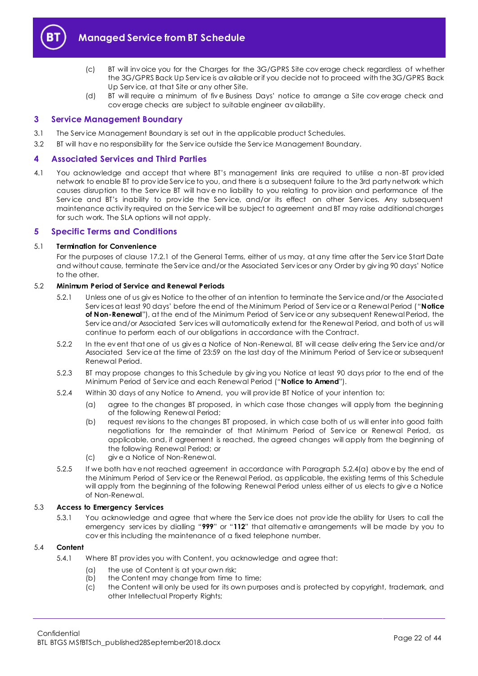

- (c) BT will inv oice you for the Charges for the 3G/GPRS Site cov erage check regardless of whether the 3G/GPRS Back Up Serv ice is av ailable or if you decide not to proceed with the 3G/GPRS Back Up Serv ice, at that Site or any other Site.
- (d) BT will require a minimum of fiv e Business Days' notice to arrange a Site cov erage check and cov erage checks are subject to suitable engineer av ailability.

## <span id="page-21-0"></span>**3 Service Management Boundary**

- 3.1 The Serv ice Management Boundary is set out in the applicable product Schedules.
- 3.2 BT will hav e no responsibility for the Serv ice outside the Serv ice Management Boundary.

## <span id="page-21-1"></span>**4 Associated Services and Third Parties**

4.1 You acknowledge and accept that where BT's management links are required to utilise a non-BT prov ided network to enable BT to prov ide Serv ice to you, and there is a subsequent failure to the 3rd party network which causes disruption to the Serv ice BT will hav e no liability to you relating to prov ision and performance of the Service and BT's inability to provide the Service, and/or its effect on other Services. Any subsequent maintenance activ ity required on the Serv ice will be subject to agreement and BT may raise additional charges for such work. The SLA options will not apply.

## <span id="page-21-2"></span>**5 Specific Terms and Conditions**

#### <span id="page-21-4"></span>5.1 **Termination for Convenience**

For the purposes of clause 17.2.1 of the General Terms, either of us may, at any time after the Serv ice Start Date and without cause, terminate the Serv ice and/or the Associated Serv ices or any Order by giv ing 90 days' Notice to the other.

#### <span id="page-21-5"></span>5.2 **Minimum Period of Service and Renewal Periods**

- 5.2.1 Unless one of us giv es Notice to the other of an intention to terminate the Serv ice and/or the Associated Serv ices at least 90 days' before the end of the Minimum Period of Serv ice or a Renewal Period ("**Notice of Non-Renewal**"), at the end of the Minimum Period of Serv ice or any subsequent Renewal Period, the Serv ice and/or Associated Serv ices will automatically extend for the Renewal Period, and both of us will continue to perform each of our obligations in accordance with the Contract.
- 5.2.2 In the ev ent that one of us giv es a Notice of Non-Renewal, BT will cease deliv ering the Serv ice and/or Associated Serv ice at the time of 23:59 on the last day of the Minimum Period of Serv ice or subsequent Renewal Period.
- 5.2.3 BT may propose changes to this Schedule by giv ing you Notice at least 90 days prior to the end of the Minimum Period of Serv ice and each Renewal Period ("**Notice to Amend**").
- <span id="page-21-3"></span>5.2.4 Within 30 days of any Notice to Amend, you will prov ide BT Notice of your intention to:
	- (a) agree to the changes BT proposed, in which case those changes will apply from the beginning of the following Renewal Period;
	- (b) request rev isions to the changes BT proposed, in which case both of us will enter into good faith negotiations for the remainder of that Minimum Period of Serv ice or Renewal Period, as applicable, and, if agreement is reached, the agreed changes will apply from the beginning of the following Renewal Period; or
	- (c) giv e a Notice of Non-Renewal.
- 5.2.5 If we both hav e not reached agreement in accordance with Paragraph [5.2.4\(a\)](#page-21-3) abov e by the end of the Minimum Period of Serv ice or the Renewal Period, as applicable, the existing terms of this Schedule will apply from the beginning of the following Renewal Period unless either of us elects to giv e a Notice of Non-Renewal.

## 5.3 **Access to Emergency Services**

5.3.1 You acknowledge and agree that where the Serv ice does not prov ide the ability for Users to call the emergency serv ices by dialling "**999**" or "**112**" that alternativ e arrangements will be made by you to cov er this including the maintenance of a fixed telephone number.

#### 5.4 **Content**

- 5.4.1 Where BT prov ides you with Content, you acknowledge and agree that:
	- (a) the use of Content is at your own risk;
	- (b) the Content may change from time to time;
	- (c) the Content will only be used for its own purposes and is protected by copyright, trademark, and other Intellectual Property Rights;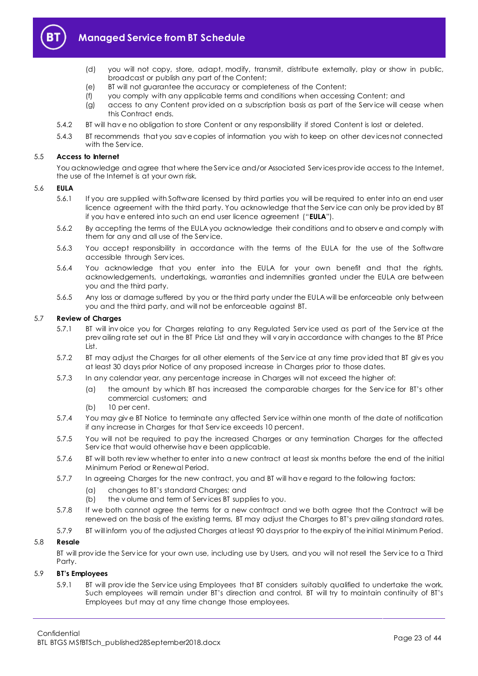

- (d) you will not copy, store, adapt, modify, transmit, distribute externally, play or show in public, broadcast or publish any part of the Content;
- (e) BT will not guarantee the accuracy or completeness of the Content;
- (f) you comply with any applicable terms and conditions when accessing Content; and
- (g) access to any Content prov ided on a subscription basis as part of the Serv ice will cease when this Contract ends.
- 5.4.2 BT will hav e no obligation to store Content or any responsibility if stored Content is lost or deleted.
- 5.4.3 BT recommends that you sav e copies of information you wish to keep on other dev ices not connected with the Service.

## 5.5 **Access to Internet**

You acknowledge and agree that where the Serv ice and/or Associated Serv ices prov ide access to the Internet, the use of the Internet is at your own risk.

## 5.6 **EULA**

- 5.6.1 If you are supplied with Software licensed by third parties you will be required to enter into an end user licence agreement with the third party. You acknowledge that the Serv ice can only be prov ided by BT if you hav e entered into such an end user licence agreement ("**EULA**").
- 5.6.2 By accepting the terms of the EULA you acknowledge their conditions and to observ e and comply with them for any and all use of the Serv ice.
- 5.6.3 You accept responsibility in accordance with the terms of the EULA for the use of the Software accessible through Serv ices.
- 5.6.4 You acknowledge that you enter into the EULA for your own benefit and that the rights, acknowledgements, undertakings, warranties and indemnities granted under the EULA are between you and the third party.
- 5.6.5 Any loss or damage suffered by you or the third party under the EULA will be enforceable only between you and the third party, and will not be enforceable against BT.

## 5.7 **Review of Charges**

- 5.7.1 BT will inv oice you for Charges relating to any Regulated Serv ice used as part of the Serv ice at the prev ailing rate set out in the BT Price List and they will v ary in accordance with changes to the BT Price List.
- 5.7.2 BT may adjust the Charges for all other elements of the Serv ice at any time prov ided that BT giv es you at least 30 days prior Notice of any proposed increase in Charges prior to those dates.
- 5.7.3 In any calendar year, any percentage increase in Charges will not exceed the higher of:
	- (a) the amount by which BT has increased the comparable charges for the Serv ice for BT's other commercial customers; and
	- (b) 10 per cent.
- 5.7.4 You may giv e BT Notice to terminate any affected Serv ice within one month of the date of notification if any increase in Charges for that Serv ice exceeds 10 percent.
- 5.7.5 You will not be required to pay the increased Charges or any termination Charges for the affected Serv ice that would otherwise hav e been applicable.
- 5.7.6 BT will both rev iew whether to enter into a new contract at least six months before the end of the initial Minimum Period or Renewal Period.
- 5.7.7 In agreeing Charges for the new contract, you and BT will hav e regard to the following factors:
	- (a) changes to BT's standard Charges; and
	- (b) the v olume and term of Serv ices BT supplies to you.
- 5.7.8 If we both cannot agree the terms for a new contract and we both agree that the Contract will be renewed on the basis of the existing terms, BT may adjust the Charges to BT's prev ailing standard rates.
- 5.7.9 BT will inform you of the adjusted Charges at least 90 days prior to the expiry of the initial Minimum Period.

## 5.8 **Resale**

BT will prov ide the Serv ice for your own use, including use by Users, and you will not resell the Serv ice to a Third Party.

## 5.9 **BT's Employees**

5.9.1 BT will prov ide the Serv ice using Employees that BT considers suitably qualified to undertake the work. Such employees will remain under BT's direction and control. BT will try to maintain continuity of BT's Employees but may at any time change those employees.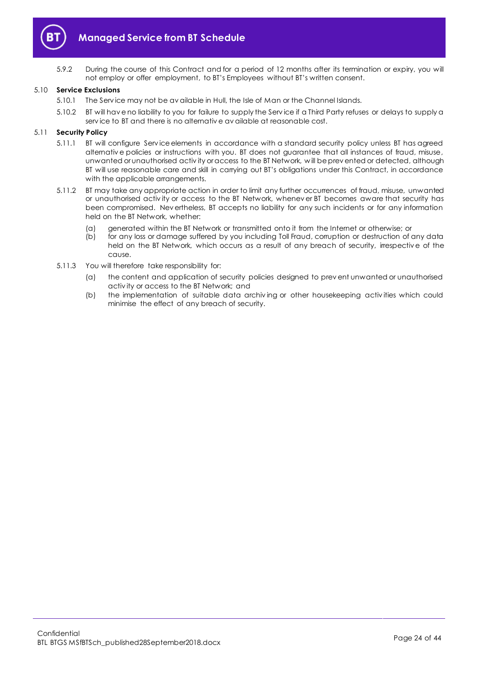

5.9.2 During the course of this Contract and for a period of 12 months after its termination or expiry, you will not employ or offer employment, to BT's Employees without BT's written consent.

## 5.10 **Service Exclusions**

- 5.10.1 The Serv ice may not be av ailable in Hull, the Isle of Man or the Channel Islands.
- 5.10.2 BT will hav e no liability to you for failure to supply the Serv ice if a Third Party refuses or delays to supply a serv ice to BT and there is no alternativ e av ailable at reasonable cost.

#### 5.11 **Security Policy**

- 5.11.1 BT will configure Serv ice elements in accordance with a standard security policy unless BT has agreed alternativ e policies or instructions with you. BT does not guarantee that all instances of fraud, misuse, unwanted or unauthorised activ ity or access to the BT Network, w ill be prev ented or detected, although BT will use reasonable care and skill in carrying out BT's obligations under this Contract, in accordance with the applicable arrangements.
- 5.11.2 BT may take any appropriate action in order to limit any further occurrences of fraud, misuse, unwanted or unauthorised activ ity or access to the BT Network, whenev er BT becomes aware that security has been compromised. Nev ertheless, BT accepts no liability for any such incidents or for any information held on the BT Network, whether:
	- (a) generated within the BT Network or transmitted onto it from the Internet or otherwise; or<br>(b) for any loss or damage suffered by you including Toll Fraud, corruption or destruction of c
	- for any loss or damage suffered by you including Toll Fraud, corruption or destruction of any data held on the BT Network, which occurs as a result of any breach of security, irrespectiv e of the cause.
- 5.11.3 You will therefore take responsibility for:
	- (a) the content and application of security policies designed to prev ent unwanted or unauthorised activ ity or access to the BT Network; and
	- (b) the implementation of suitable data archiv ing or other housekeeping activ ities which could minimise the effect of any breach of security.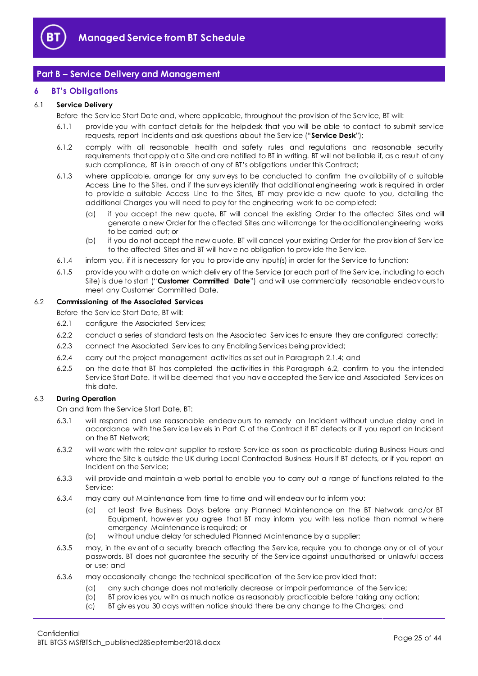

# <span id="page-24-0"></span>**Part B – Service Delivery and Management**

## <span id="page-24-1"></span>**6 BT's Obligations**

## <span id="page-24-4"></span>6.1 **Service Delivery**

Before the Serv ice Start Date and, where applicable, throughout the prov ision of the Serv ice, BT will:

- 6.1.1 prov ide you with contact details for the helpdesk that you will be able to contact to submit serv ice requests, report Incidents and ask questions about the Serv ice ("**Service Desk**");
- 6.1.2 comply with all reasonable health and safety rules and regulations and reasonable security requirements that apply at a Site and are notified to BT in writing. BT will not be liable if, as a result of any such compliance, BT is in breach of any of BT's obligations under this Contract;
- 6.1.3 where applicable, arrange for any surv eys to be conducted to confirm the av ailability of a suitable Access Line to the Sites, and if the surv eys identify that additional engineering work is required in order to prov ide a suitable Access Line to the Sites, BT may prov ide a new quote to you, detailing the additional Charges you will need to pay for the engineering work to be completed;
	- (a) if you accept the new quote, BT will cancel the existing Order to the affected Sites and will generate a new Order for the affected Sites and will arrange for the additional engineering works to be carried out; or
	- (b) if you do not accept the new quote, BT will cancel your existing Order for the prov ision of Serv ice to the affected Sites and BT will hav e no obligation to prov ide the Serv ice.
- 6.1.4 inform you, if it is necessary for you to prov ide any input(s) in order for the Serv ice to function;
- <span id="page-24-3"></span>6.1.5 prov ide you with a date on which deliv ery of the Serv ice (or each part of the Serv ice, including to each Site) is due to start ("**Customer Committed Date**") and will use commercially reasonable endeav ours to meet any Customer Committed Date.

#### <span id="page-24-2"></span>6.2 **Commissioning of the Associated Services**

Before the Serv ice Start Date, BT will:

- 6.2.1 configure the Associated Serv ices;
- 6.2.2 conduct a series of standard tests on the Associated Serv ices to ensure they are configured correctly;
- 6.2.3 connect the Associated Serv ices to any Enabling Serv ices being prov ided;
- 6.2.4 carry out the project management activ ities as set out in Paragrap[h 2.1.4;](#page-2-0) and
- 6.2.5 on the date that BT has completed the activ ities in this Paragraph [6.2,](#page-24-2) confirm to you the intended Serv ice Start Date. It will be deemed that you hav e accepted the Serv ice and Associated Serv ices on this date.

## 6.3 **During Operation**

On and from the Serv ice Start Date, BT:

- 6.3.1 will respond and use reasonable endeav ours to remedy an Incident without undue delay and in accordance with the Serv ice Lev els in Part C of the Contract if BT detects or if you report an Incident on the BT Network;
- 6.3.2 will work with the relev ant supplier to restore Serv ice as soon as practicable during Business Hours and where the Site is outside the UK during Local Contracted Business Hours if BT detects, or if you report an Incident on the Serv ice;
- 6.3.3 will provide and maintain a web portal to enable you to carry out a range of functions related to the Serv ice;
- 6.3.4 may carry out Maintenance from time to time and will endeav our to inform you:
	- (a) at least fiv e Business Days before any Planned Maintenance on the BT Network and/or BT Equipment, howev er you agree that BT may inform you with less notice than normal w here emergency Maintenance is required; or
	- (b) without undue delay for scheduled Planned Maintenance by a supplier;
- 6.3.5 may, in the ev ent of a security breach affecting the Serv ice, require you to change any or all of your passwords. BT does not guarantee the security of the Serv ice against unauthorised or unlawful access or use; and
- 6.3.6 may occasionally change the technical specification of the Serv ice prov ided that:
	- (a) any such change does not materially decrease or impair performance of the Serv ice;
	- (b) BT prov ides you with as much notice as reasonably practicable before taking any action;
	- (c) BT giv es you 30 days written notice should there be any change to the Charges; and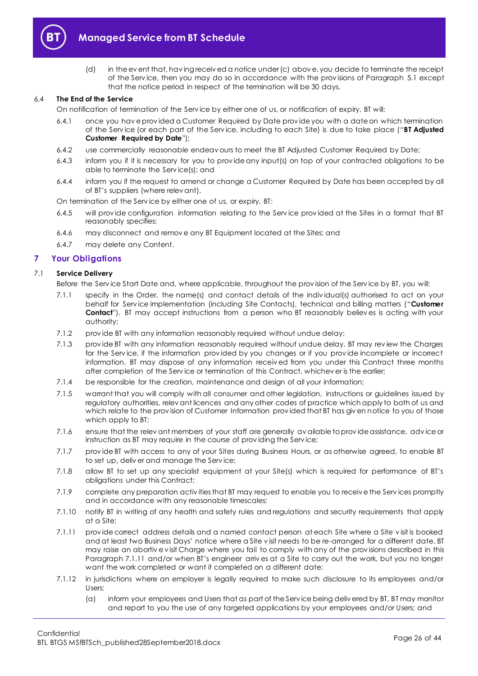

(d) in the ev ent that, hav ing receiv ed a notice under (c) abov e, you decide to terminate the receipt of the Serv ice, then you may do so in accordance with the prov isions of Paragraph [5.1](#page-21-4) except that the notice period in respect of the termination will be 30 days.

## <span id="page-25-4"></span>6.4 **The End of the Service**

On notification of termination of the Serv ice by either one of us, or notification of expiry, BT will:

- 6.4.1 once you hav e prov ided a Customer Required by Date prov ide you with a date on which termination of the Serv ice (or each part of the Serv ice, including to each Site) is due to take place ("**BT Adjusted Customer Required by Date**");
- 6.4.2 use commercially reasonable endeav ours to meet the BT Adjusted Customer Required by Date;
- 6.4.3 inform you if it is necessary for you to prov ide any input(s) on top of your contracted obligations to be able to terminate the Serv ice(s); and
- 6.4.4 inform you if the request to amend or change a Customer Required by Date has been accepted by all of BT's suppliers (where relev ant).

On termination of the Serv ice by either one of us, or expiry, BT:

- 6.4.5 will prov ide configuration information relating to the Serv ice prov ided at the Sites in a format that BT reasonably specifies;
- 6.4.6 may disconnect and remov e any BT Equipment located at the Sites; and
- 6.4.7 may delete any Content.

## <span id="page-25-0"></span>**7 Your Obligations**

## 7.1 **Service Delivery**

Before the Serv ice Start Date and, where applicable, throughout the prov ision of the Serv ice by BT, you will:

- <span id="page-25-5"></span>7.1.1 specify in the Order, the name(s) and contact details of the indiv idual(s) authorised to act on your behalf for Serv ice implementation (including Site Contacts), technical and billing matters ("**Customer Contact**"). BT may accept instructions from a person who BT reasonably believes is acting with your authority;
- 7.1.2 prov ide BT with any information reasonably required without undue delay;
- 7.1.3 prov ide BT with any information reasonably required without undue delay. BT may rev iew the Charges for the Serv ice, if the information prov ided by you changes or if you prov ide incomplete or incorrect information. BT may dispose of any information receiv ed from you under this Contract three months after completion of the Serv ice or termination of this Contract, whichev er is the earlier;
- 7.1.4 be responsible for the creation, maintenance and design of all your information;
- 7.1.5 warrant that you will comply with all consumer and other legislation, instructions or guidelines issued by regulatory authorities, relev ant licences and any other codes of practice which apply to both of us and which relate to the provision of Customer Information provided that BT has given notice to you of those which apply to BT;
- 7.1.6 ensure that the relev ant members of your staff are generally av ailable to prov ide assistance, adv ice or instruction as BT may require in the course of prov iding the Serv ice;
- 7.1.7 prov ide BT with access to any of your Sites during Business Hours, or as otherwise agreed, to enable BT to set up, deliv er and manage the Serv ice;
- 7.1.8 allow BT to set up any specialist equipment at your Site(s) which is required for performance of BT's obligations under this Contract;
- <span id="page-25-1"></span>7.1.9 complete any preparation activ ities that BT may request to enable you to receiv e the Serv ices promptly and in accordance with any reasonable timescales;
- <span id="page-25-2"></span>7.1.10 notify BT in writing of any health and safety rules and regulations and security requirements that apply at a Site;
- <span id="page-25-3"></span>7.1.11 prov ide correct address details and a named contact person at each Site where a Site v isit is booked and at least two Business Days' notice where a Site v isit needs to be re-arranged for a different date. BT may raise an abortiv e v isit Charge where you fail to comply with any of the prov isions described in this Paragraph [7.1.11](#page-25-3) and/or when BT's engineer arriv es at a Site to carry out the work, but you no longer want the work completed or want it completed on a different date;
- 7.1.12 in jurisdictions where an employer is legally required to make such disclosure to its employees and/or Users:
	- (a) inform your employees and Users that as part of the Serv ice being deliv ered by BT, BT may monitor and report to you the use of any targeted applications by your employees and/or Users; and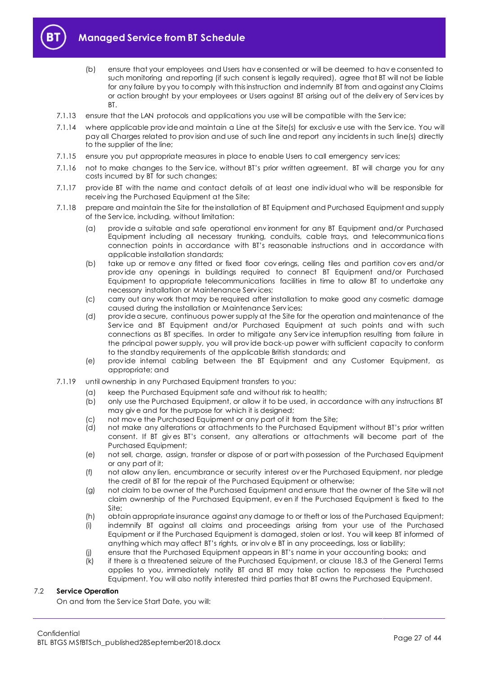

- (b) ensure that your employees and Users hav e consented or will be deemed to hav e consented to such monitoring and reporting (if such consent is legally required), agree that BT will not be liable for any failure by you to comply with this instruction and indemnify BT from and against any Claims or action brought by your employees or Users against BT arising out of the deliv ery of Serv ices by BT.
- 7.1.13 ensure that the LAN protocols and applications you use will be compatible with the Serv ice;
- 7.1.14 where applicable prov ide and maintain a Line at the Site(s) for exclusiv e use with the Serv ice. You will pay all Charges related to prov ision and use of such line and report any incidents in such line(s) directly to the supplier of the line;
- 7.1.15 ensure you put appropriate measures in place to enable Users to call emergency serv ices;
- 7.1.16 not to make changes to the Serv ice, without BT's prior written agreement. BT will charge you for any costs incurred by BT for such changes;
- 7.1.17 prov ide BT with the name and contact details of at least one indiv idual who will be responsible for receiv ing the Purchased Equipment at the Site;
- 7.1.18 prepare and maintain the Site for the installation of BT Equipment and Purchased Equipment and supply of the Serv ice, including, without limitation:
	- (a) prov ide a suitable and safe operational env ironment for any BT Equipment and/or Purchased Equipment including all necessary trunking, conduits, cable trays, and telecommunications connection points in accordance with BT's reasonable instructions and in accordance with applicable installation standards;
	- (b) take up or remov e any fitted or fixed floor cov erings, ceiling tiles and partition cov ers and/or prov ide any openings in buildings required to connect BT Equipment and/or Purchased Equipment to appropriate telecommunications facilities in time to allow BT to undertake any necessary installation or Maintenance Serv ices;
	- (c) carry out any work that may be required after installation to make good any cosmetic damage caused during the installation or Maintenance Serv ices;
	- (d) prov ide a secure, continuous power supply at the Site for the operation and maintenance of the Serv ice and BT Equipment and/or Purchased Equipment at such points and with such connections as BT specifies. In order to mitigate any Serv ice interruption resulting from failure in the principal power supply, you will prov ide back-up power with sufficient capacity to conform to the standby requirements of the applicable British standards; and
	- (e) prov ide internal cabling between the BT Equipment and any Customer Equipment, as appropriate; and
- 7.1.19 until ownership in any Purchased Equipment transfers to you:
	- (a) keep the Purchased Equipment safe and without risk to health;
	- (b) only use the Purchased Equipment, or allow it to be used, in accordance with any instructions BT may giv e and for the purpose for which it is designed;
	- (c) not mov e the Purchased Equipment or any part of it from the Site;
	- (d) not make any alterations or attachments to the Purchased Equipment without BT's prior written consent. If BT giv es BT's consent, any alterations or attachments will become part of the Purchased Equipment;
	- (e) not sell, charge, assign, transfer or dispose of or part with possession of the Purchased Equipment or any part of it;
	- (f) not allow any lien, encumbrance or security interest ov er the Purchased Equipment, nor pledge the credit of BT for the repair of the Purchased Equipment or otherwise;
	- (g) not claim to be owner of the Purchased Equipment and ensure that the owner of the Site will not claim ownership of the Purchased Equipment, ev en if the Purchased Equipment is fixed to the Site;
	- (h) obtain appropriate insurance against any damage to or theft or loss of the Purchased Equipment;
	- (i) indemnify BT against all claims and proceedings arising from your use of the Purchased Equipment or if the Purchased Equipment is damaged, stolen or lost. You will keep BT informed of anything which may affect BT's rights, or inv olv e BT in any proceedings, loss or liability;
	- (j) ensure that the Purchased Equipment appears in BT's name in your accounting books; and
	- (k) if there is a threatened seizure of the Purchased Equipment, or clause 18.3 of the General Terms applies to you, immediately notify BT and BT may take action to repossess the Purchased Equipment. You will also notify interested third parties that BT owns the Purchased Equipment.

## 7.2 **Service Operation**

On and from the Serv ice Start Date, you will: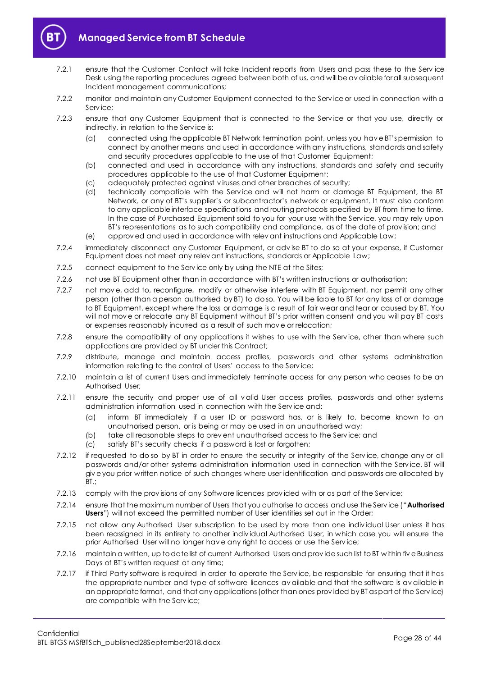

- 7.2.1 ensure that the Customer Contact will take Incident reports from Users and pass these to the Serv ice Desk using the reporting procedures agreed between both of us, and will be av ailable for all subsequent Incident management communications;
- 7.2.2 monitor and maintain any Customer Equipment connected to the Serv ice or used in connection with a Serv ice;
- 7.2.3 ensure that any Customer Equipment that is connected to the Serv ice or that you use, directly or indirectly, in relation to the Serv ice is:
	- (a) connected using the applicable BT Network termination point, unless you hav e BT's permission to connect by another means and used in accordance with any instructions, standards and safety and security procedures applicable to the use of that Customer Equipment;
	- (b) connected and used in accordance with any instructions, standards and safety and security procedures applicable to the use of that Customer Equipment;
	- (c) adequately protected against v iruses and other breaches of security;
	- (d) technically compatible with the Serv ice and will not harm or damage BT Equipment, the BT Network, or any of BT's supplier's or subcontractor's network or equipment. It must also conform to any applicable interface specifications and routing protocols specified by BT from time to time. In the case of Purchased Equipment sold to you for your use with the Serv ice, you may rely upon BT's representations as to such compatibility and compliance, as of the date of prov ision; and
	- (e) approv ed and used in accordance with relev ant instructions and Applicable Law;
- 7.2.4 immediately disconnect any Customer Equipment, or adv ise BT to do so at your expense, if Customer Equipment does not meet any relev ant instructions, standards or Applicable Law;
- 7.2.5 connect equipment to the Service only by using the NTE at the Sites;
- 7.2.6 not use BT Equipment other than in accordance with BT's written instructions or authorisation;
- 7.2.7 not mov e, add to, reconfigure, modify or otherwise interfere with BT Equipment, nor permit any other person (other than a person authorised by BT) to do so. You will be liable to BT for any loss of or damage to BT Equipment, except where the loss or damage is a result of fair wear and tear or caused by BT. You will not mov e or relocate any BT Equipment without BT's prior written consent and you will pay BT costs or expenses reasonably incurred as a result of such mov e or relocation;
- 7.2.8 ensure the compatibility of any applications it wishes to use with the Serv ice, other than where such applications are prov ided by BT under this Contract;
- 7.2.9 distribute, manage and maintain access profiles, passwords and other systems administration information relating to the control of Users' access to the Serv ice;
- 7.2.10 maintain a list of current Users and immediately terminate access for any person who ceases to be an Authorised User;
- 7.2.11 ensure the security and proper use of all v alid User access profiles, passwords and other systems administration information used in connection with the Serv ice and:
	- (a) inform BT immediately if a user ID or password has, or is likely to, become known to an unauthorised person, or is being or may be used in an unauthorised way;
	- (b) take all reasonable steps to prev ent unauthorised access to the Serv ice; and
	- (c) satisfy BT's security checks if a password is lost or forgotten;
- 7.2.12 if requested to do so by BT in order to ensure the security or integrity of the Serv ice, change any or all passwords and/or other systems administration information used in connection with the Serv ice. BT will giv e you prior written notice of such changes where user identification and passwords are allocated by BT.;
- 7.2.13 comply with the provisions of any Software licences provided with or as part of the Service;
- <span id="page-27-0"></span>7.2.14 ensure that the maximum number of Users that you authorise to access and use the Serv ice ("**Authorised Users**") will not exceed the permitted number of User identities set out in the Order;
- 7.2.15 not allow any Authorised User subscription to be used by more than one indiv idual User unless it has been reassigned in its entirety to another indiv idual Authorised User, in which case you will ensure the prior Authorised User will no longer hav e any right to access or use the Serv ice;
- 7.2.16 maintain a written, up to date list of current Authorised Users and prov ide such list to BT within fiv e Business Days of BT's written request at any time;
- 7.2.17 if Third Party software is required in order to operate the Serv ice, be responsible for ensuring that it has the appropriate number and type of software licences av ailable and that the software is av ailable in an appropriate format, and that any applications (other than ones prov ided by BT as part of the Serv ice) are compatible with the Serv ice;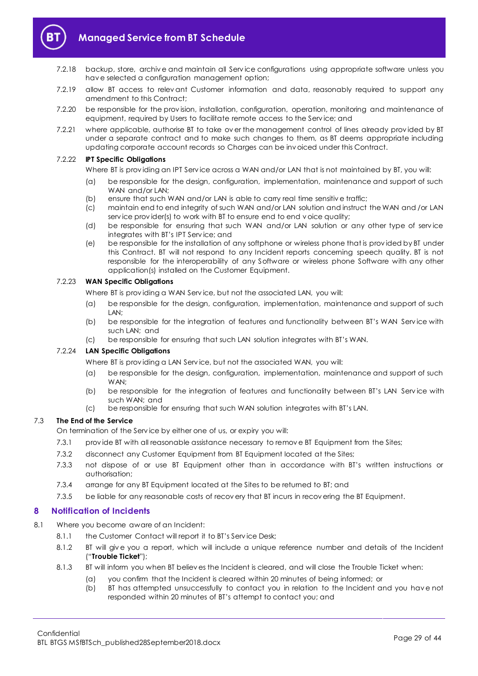

- 7.2.18 backup, store, archiv e and maintain all Serv ice configurations using appropriate software unless you hav e selected a configuration management option;
- 7.2.19 allow BT access to relev ant Customer information and data, reasonably required to support any amendment to this Contract;
- 7.2.20 be responsible for the prov ision, installation, configuration, operation, monitoring and maintenance of equipment, required by Users to facilitate remote access to the Serv ice; and
- 7.2.21 where applicable, authorise BT to take ov er the management control of lines already prov ided by BT under a separate contract and to make such changes to them, as BT deems appropriate including updating corporate account records so Charges can be inv oiced under this Contract.

## 7.2.22 **IPT Specific Obligations**

Where BT is providing an IPT Service across a WAN and/or LAN that is not maintained by BT, you will:

- (a) be responsible for the design, configuration, implementation, maintenance and support of such WAN and/or LAN:
- (b) ensure that such WAN and/or LAN is able to carry real time sensitiv e traffic;
- (c) maintain end to end integrity of such WAN and/or LAN solution and instruct the WAN and /or LAN service provider(s) to work with BT to ensure end to end voice quality;
- (d) be responsible for ensuring that such WAN and/or LAN solution or any other type of serv ice integrates with BT's IPT Serv ice; and
- (e) be responsible for the installation of any softphone or wireless phone that is prov ided by BT under this Contract. BT will not respond to any Incident reports concerning speech quality. BT is not responsible for the interoperability of any Software or wireless phone Software with any other application(s) installed on the Customer Equipment.

## 7.2.23 **WAN Specific Obligations**

Where BT is providing a WAN Service, but not the associated LAN, you will:

- (a) be responsible for the design, configuration, implementation, maintenance and support of such LAN;
- (b) be responsible for the integration of features and functionality between BT's WAN Service with such LAN; and
- (c) be responsible for ensuring that such LAN solution integrates with BT's WAN.

## 7.2.24 **LAN Specific Obligations**

Where BT is prov iding a LAN Serv ice, but not the associated WAN, you will:

- (a) be responsible for the design, configuration, implementation, maintenance and support of such WAN;
- (b) be responsible for the integration of features and functionality between BT's LAN Service with such WAN; and
- (c) be responsible for ensuring that such WAN solution integrates with BT's LAN.

## 7.3 **The End of the Service**

On termination of the Serv ice by either one of us, or expiry you will:

- 7.3.1 prov ide BT with all reasonable assistance necessary to remov e BT Equipment from the Sites;
- 7.3.2 disconnect any Customer Equipment from BT Equipment located at the Sites;
- 7.3.3 not dispose of or use BT Equipment other than in accordance with BT's written instructions or authorisation;
- 7.3.4 arrange for any BT Equipment located at the Sites to be returned to BT; and
- 7.3.5 be liable for any reasonable costs of recov ery that BT incurs in recov ering the BT Equipment.

## <span id="page-28-0"></span>**8 Notification of Incidents**

- <span id="page-28-2"></span><span id="page-28-1"></span>8.1 Where you become aware of an Incident:
	- 8.1.1 the Customer Contact will report it to BT's Service Desk;
	- 8.1.2 BT will giv e you a report, which will include a unique reference number and details of the Incident ("**Trouble Ticket**");
	- 8.1.3 BT will inform you when BT believ es the Incident is cleared, and will close the Trouble Ticket when:
		- (a) you confirm that the Incident is cleared within 20 minutes of being informed; or
		- (b) BT has attempted unsuccessfully to contact you in relation to the Incident and you hav e not responded within 20 minutes of BT's attempt to contact you; and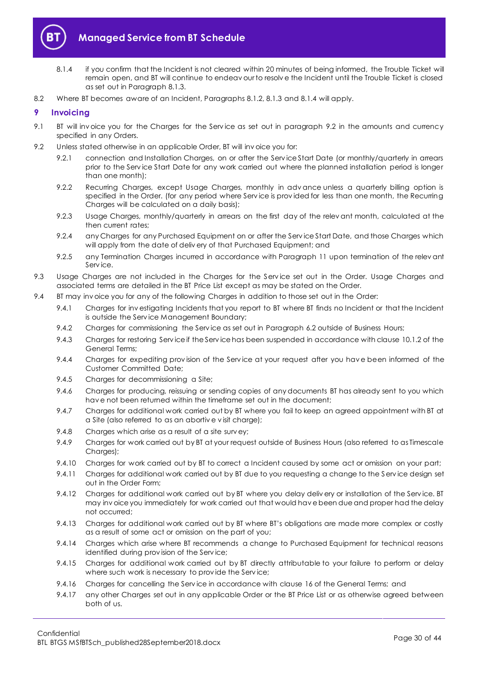

- <span id="page-29-1"></span>8.1.4 if you confirm that the Incident is not cleared within 20 minutes of being informed, the Trouble Ticket will remain open, and BT will continue to endeav our to resolv e the Incident until the Trouble Ticket is closed as set out in Paragrap[h 8.1.3.](#page-28-1)
- 8.2 Where BT becomes aware of an Incident, Paragraphs [8.1.2,](#page-28-2) [8.1.3](#page-28-1) and [8.1.4](#page-29-1) will apply.

## <span id="page-29-0"></span>**9 Invoicing**

- 9.1 BT will invoice you for the Charges for the Service as set out in paragraph [9.2](#page-29-2) in the amounts and currency specified in any Orders.
- <span id="page-29-2"></span>9.2 Unless stated otherwise in an applicable Order, BT will inv oice you for:
	- 9.2.1 connection and Installation Charges, on or after the Service Start Date (or monthly/quarterly in arrears prior to the Serv ice Start Date for any work carried out where the planned installation period is longer than one month);
	- 9.2.2 Recurring Charges, except Usage Charges, monthly in adv ance unless a quarterly billing option is specified in the Order. (for any period where Service is provided for less than one month, the Recurring Charges will be calculated on a daily basis);
	- 9.2.3 Usage Charges, monthly/quarterly in arrears on the first day of the relev ant month, calculated at the then current rates;
	- 9.2.4 any Charges for any Purchased Equipment on or after the Service Start Date, and those Charges which will apply from the date of deliv ery of that Purchased Equipment; and
	- 9.2.5 any Termination Charges incurred in accordance with Paragraph [11](#page-30-1) upon termination of the relevant Serv ice.
- 9.3 Usage Charges are not included in the Charges for the Service set out in the Order. Usage Charges and associated terms are detailed in the BT Price List except as may be stated on the Order.
- 9.4 BT may inv oice you for any of the following Charges in addition to those set out in the Order:
	- 9.4.1 Charges for inv estigating Incidents that you report to BT where BT finds no Incident or that the Incident is outside the Serv ice Management Boundary;
	- 9.4.2 Charges for commissioning the Service as set out in Paragrap[h 6.2](#page-24-2) outside of Business Hours;
	- 9.4.3 Charges for restoring Serv ice if the Serv ice has been suspended in accordance with clause 10.1.2 of the General Terms;
	- 9.4.4 Charges for expediting prov ision of the Serv ice at your request after you hav e been informed of the Customer Committed Date;
	- 9.4.5 Charges for decommissioning a Site;
	- 9.4.6 Charges for producing, reissuing or sending copies of any documents BT has already sent to you which hav e not been returned within the timeframe set out in the document;
	- 9.4.7 Charges for additional work carried out by BT where you fail to keep an agreed appointment with BT at a Site (also referred to as an abortiv e v isit charge);
	- 9.4.8 Charges which arise as a result of a site surv ey;
	- 9.4.9 Charges for work carried out by BT at your request outside of Business Hours (also referred to as Timescale Charges);
	- 9.4.10 Charges for work carried out by BT to correct a Incident caused by some act or omission on your part;
	- 9.4.11 Charges for additional work carried out by BT due to you requesting a change to the Serv ice design set out in the Order Form;
	- 9.4.12 Charges for additional work carried out by BT where you delay delivery or installation of the Service. BT may inv oice you immediately for work carried out that would hav e been due and proper had the delay not occurred;
	- 9.4.13 Charges for additional work carried out by BT where BT's obligations are made more complex or costly as a result of some act or omission on the part of you;
	- 9.4.14 Charges which arise where BT recommends a change to Purchased Equipment for technical reasons identified during prov ision of the Serv ice;
	- 9.4.15 Charges for additional work carried out by BT directly attributable to your failure to perform or delay where such work is necessary to provide the Service;
	- 9.4.16 Charges for cancelling the Serv ice in accordance with clause 16 of the General Terms; and
	- 9.4.17 any other Charges set out in any applicable Order or the BT Price List or as otherwise agreed between both of us.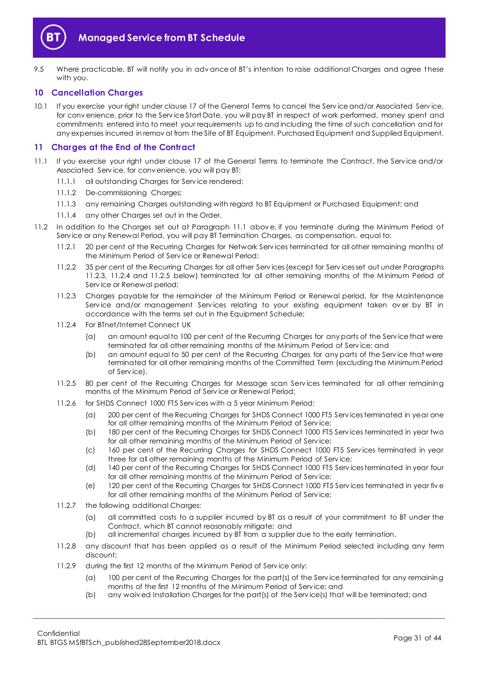

9.5 Where practicable, BT will notify you in adv ance of BT's intention to raise additional Charges and agree these with you.

## <span id="page-30-0"></span>**10 Cancellation Charges**

10.1 If you exercise your right under clause 17 of the General Terms to cancel the Serv ice and/or Associated Serv ice, for conv enience, prior to the Serv ice Start Date, you will pay BT in respect of work performed, money spent and commitments entered into to meet your requirements up to and including the time of such cancellation and for any expenses incurred in remov al from the Site of BT Equipment, Purchased Equipment and Supplied Equipment.

## <span id="page-30-1"></span>**11 Charges at the End of the Contract**

- <span id="page-30-2"></span>11.1 If you exercise your right under clause 17 of the General Terms to terminate the Contract, the Serv ice and/or Associated Serv ice, for conv enience, you will pay BT:
	- 11.1.1 all outstanding Charges for Serv ice rendered;
	- 11.1.2 De-commissioning Charges;
	- 11.1.3 any remaining Charges outstanding with regard to BT Equipment or Purchased Equipment; and
	- 11.1.4 any other Charges set out in the Order.
- <span id="page-30-6"></span><span id="page-30-5"></span><span id="page-30-4"></span><span id="page-30-3"></span>11.2 In addition to the Charges set out at Paragraph [11.1](#page-30-2) abov e, if you terminate during the Minimum Period of Serv ice or any Renewal Period, you will pay BT Termination Charges, as compensation, equal to:
	- 11.2.1 20 per cent of the Recurring Charges for Network Serv ices terminated for all other remaining months of the Minimum Period of Serv ice or Renewal Period;
	- 11.2.2 35 per cent of the Recurring Charges for all other Serv ices (except for Serv ices set out under Paragraphs [11.2.3,](#page-30-3) [11.2.4](#page-30-4) and [11.2.5](#page-30-5) below) terminated for all other remaining months of the Minimum Period of Serv ice or Renewal period;
	- 11.2.3 Charges payable for the remainder of the Minimum Period or Renewal period, for the Maintenance Service and/or management Services relating to your existing equipment taken over by BT in accordance with the terms set out in the Equipment Schedule;
	- 11.2.4 For BTnet/Internet Connect UK
		- (a) an amount equal to 100 per cent of the Recurring Charges for any parts of the Service that were terminated for all other remaining months of the Minimum Period of Serv ice; and
		- (b) an amount equal to 50 per cent of the Recurring Charges for any parts of the Serv ice that were terminated for all other remaining months of the Committed Term (excluding the Minimum Period of Serv ice).
	- 11.2.5 80 per cent of the Recurring Charges for Message scan Services terminated for all other remaining months of the Minimum Period of Serv ice or Renewal Period;
	- 11.2.6 for SHDS Connect 1000 FT5 Serv ices with a 5 year Minimum Period:
		- (a) 200 per cent of the Recurring Charges for SHDS Connect 1000 FT5 Serv ices terminated in year one for all other remaining months of the Minimum Period of Serv ice;
		- (b) 180 per cent of the Recurring Charges for SHDS Connect 1000 FT5 Serv ices terminated in year two for all other remaining months of the Minimum Period of Serv ice;
		- (c) 160 per cent of the Recurring Charges for SHDS Connect 1000 FT5 Serv ices terminated in year three for all other remaining months of the Minimum Period of Serv ice;
		- (d) 140 per cent of the Recurring Charges for SHDS Connect 1000 FT5 Serv ices terminated in year four for all other remaining months of the Minimum Period of Serv ice;
		- (e) 120 per cent of the Recurring Charges for SHDS Connect 1000 FT5 Serv ices terminated in year fiv e for all other remaining months of the Minimum Period of Serv ice;
	- 11.2.7 the following additional Charges:
		- (a) all committed costs to a supplier incurred by BT as a result of your commitment to BT under the Contract, which BT cannot reasonably mitigate; and
		- (b) all incremental charges incurred by BT from a supplier due to the early termination.
	- 11.2.8 any discount that has been applied as a result of the Minimum Period selected including any term discount;
	- 11.2.9 during the first 12 months of the Minimum Period of Serv ice only:
		- (a) 100 per cent of the Recurring Charges for the part(s) of the Service terminated for any remaining months of the first 12 months of the Minimum Period of Serv ice; and
		- (b) any waiv ed Installation Charges for the part(s) of the Serv ice(s) that will be terminated; and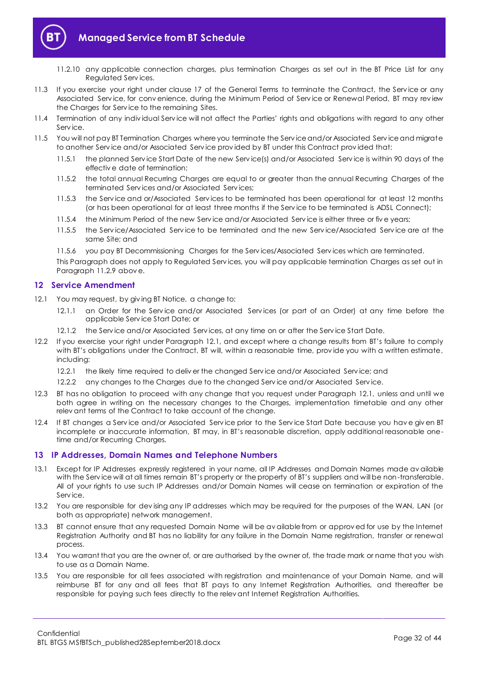

- 11.2.10 any applicable connection charges, plus termination Charges as set out in the BT Price List for any Regulated Serv ices.
- 11.3 If you exercise your right under clause 17 of the General Terms to terminate the Contract, the Serv ice or any Associated Serv ice, for conv enience, during the Minimum Period of Serv ice or Renewal Period, BT may rev iew the Charges for Serv ice to the remaining Sites.
- 11.4 Termination of any indiv idual Serv ice will not affect the Parties' rights and obligations with regard to any other Serv ice.
- 11.5 You will not pay BT Termination Charges where you terminate the Serv ice and/or Associated Serv ice and migrate to another Serv ice and/or Associated Serv ice prov ided by BT under this Contract prov ided that:
	- 11.5.1 the planned Serv ice Start Date of the new Serv ice(s) and/or Associated Serv ice is within 90 days of the effectiv e date of termination;
	- 11.5.2 the total annual Recurring Charges are equal to or greater than the annual Recurring Charges of the terminated Serv ices and/or Associated Serv ices;
	- 11.5.3 the Serv ice and or/Associated Serv ices to be terminated has been operational for at least 12 months (or has been operational for at least three months if the Serv ice to be terminated is ADSL Connect);
	- 11.5.4 the Minimum Period of the new Serv ice and/or Associated Serv ice is either three or fiv e years;
	- 11.5.5 the Serv ice/Associated Serv ice to be terminated and the new Serv ice/Associated Serv ice are at the same Site; and
	- 11.5.6 you pay BT Decommissioning Charges for the Serv ices/Associated Serv ices which are terminated.

This Paragraph does not apply to Regulated Serv ices, you will pay applicable termination Charges as set out in Paragraph [11.2.9](#page-30-6) abov e.

## <span id="page-31-0"></span>**12 Service Amendment**

- <span id="page-31-2"></span>12.1 You may request, by giving BT Notice, a change to:
	- 12.1.1 an Order for the Service and/or Associated Services (or part of an Order) at any time before the applicable Serv ice Start Date; or
	- 12.1.2 the Serv ice and/or Associated Serv ices, at any time on or after the Serv ice Start Date.
- 12.2 If you exercise your right under Paragraph [12.1](#page-31-2), and except where a change results from BT's failure to comply with BT's obligations under the Contract, BT will, within a reasonable time, provide you with a written estimate, including:
	- 12.2.1 the likely time required to deliv er the changed Service and/or Associated Service; and
	- 12.2.2 any changes to the Charges due to the changed Serv ice and/or Associated Serv ice.
- 12.3 BT has no obligation to proceed with any change that you request under Paragraph [12.1,](#page-31-2) unless and until we both agree in writing on the necessary changes to the Charges, implementation timetable and any other relev ant terms of the Contract to take account of the change.
- 12.4 If BT changes a Serv ice and/or Associated Serv ice prior to the Serv ice Start Date because you hav e giv en BT incomplete or inaccurate information, BT may, in BT's reasonable discretion, apply additional reasonable onetime and/or Recurring Charges.

## <span id="page-31-1"></span>**13 IP Addresses, Domain Names and Telephone Numbers**

- 13.1 Except for IP Addresses expressly registered in your name, all IP Addresses and Domain Names made av ailable with the Serv ice will at all times remain BT's property or the property of BT's suppliers and will be non-transferable. All of your rights to use such IP Addresses and/or Domain Names will cease on termination or expiration of the Serv ice.
- 13.2 You are responsible for dev ising any IP addresses which may be required for the purposes of the WAN, LAN (or both as appropriate) network management.
- 13.3 BT cannot ensure that any requested Domain Name will be av ailable from or approv ed for use by the Internet Registration Authority and BT has no liability for any failure in the Domain Name registration, transfer or renewal process.
- 13.4 You warrant that you are the owner of, or are authorised by the owner of, the trade mark or name that you wish to use as a Domain Name.
- 13.5 You are responsible for all fees associated with registration and maintenance of your Domain Name, and will reimburse BT for any and all fees that BT pays to any Internet Registration Authorities, and thereafter be responsible for paying such fees directly to the relev ant Internet Registration Authorities.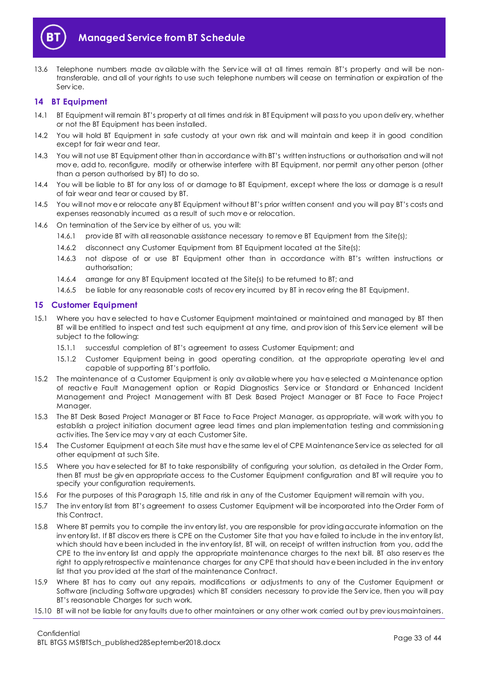

13.6 Telephone numbers made av ailable with the Service will at all times remain BT's property and will be nontransferable, and all of your rights to use such telephone numbers will cease on termination or expiration of the Serv ice.

## <span id="page-32-0"></span>**14 BT Equipment**

- 14.1 BT Equipment will remain BT's property at all times and risk in BT Equipment will pass to you upon deliv ery, whether or not the BT Equipment has been installed.
- 14.2 You will hold BT Equipment in safe custody at your own risk and will maintain and keep it in good condition except for fair wear and tear.
- 14.3 You will not use BT Equipment other than in accordance with BT's written instructions or authorisation and will not mov e, add to, reconfigure, modify or otherwise interfere with BT Equipment, nor permit any other person (other than a person authorised by BT) to do so.
- 14.4 You will be liable to BT for any loss of or damage to BT Equipment, except where the loss or damage is a result of fair wear and tear or caused by BT.
- 14.5 You will not move or relocate any BT Equipment without BT's prior written consent and you will pay BT's costs and expenses reasonably incurred as a result of such mov e or relocation.
- 14.6 On termination of the Serv ice by either of us, you will:
	- 14.6.1 provide BT with all reasonable assistance necessary to remove BT Equipment from the Site(s);
	- 14.6.2 disconnect any Customer Equipment from BT Equipment located at the Site(s);
	- 14.6.3 not dispose of or use BT Equipment other than in accordance with BT's written instructions or authorisation;
	- 14.6.4 arrange for any BT Equipment located at the Site(s) to be returned to BT; and
	- 14.6.5 be liable for any reasonable costs of recov ery incurred by BT in recov ering the BT Equipment.

## <span id="page-32-1"></span>**15 Customer Equipment**

- <span id="page-32-2"></span>15.1 Where you hav e selected to hav e Customer Equipment maintained or maintained and managed by BT then BT will be entitled to inspect and test such equipment at any time, and prov ision of this Serv ice element will be subject to the following:
	- 15.1.1 successful completion of BT's agreement to assess Customer Equipment; and
	- 15.1.2 Customer Equipment being in good operating condition, at the appropriate operating lev el and capable of supporting BT's portfolio.
- 15.2 The maintenance of a Customer Equipment is only av ailable where you hav e selected a Maintenance option of reactive Fault Management option or Rapid Diagnostics Service or Standard or Enhanced Incident Management and Project Management with BT Desk Based Project Manager or BT Face to Face Project Manager.
- 15.3 The BT Desk Based Project Manager or BT Face to Face Project Manager, as appropriate, will work with you to establish a project initiation document agree lead times and plan implementation testing and commissioning activ ities. The Serv ice may v ary at each Customer Site.
- 15.4 The Customer Equipment at each Site must hav e the same lev el of CPE Maintenance Serv ice as selected for all other equipment at such Site.
- 15.5 Where you hav e selected for BT to take responsibility of configuring your solution, as detailed in the Order Form, then BT must be giv en appropriate access to the Customer Equipment configuration and BT will require you to specify your configuration requirements.
- 15.6 For the purposes of this Paragraph [15,](#page-32-1) title and risk in any of the Customer Equipment will remain with you.
- 15.7 The inv entory list from BT's agreement to assess Customer Equipment will be incorporated into the Order Form of this Contract.
- 15.8 Where BT permits you to compile the inv entory list, you are responsible for prov iding accurate information on the inv entory list. If BT discov ers there is CPE on the Customer Site that you hav e failed to include in the inv entory list, which should have been included in the inventory list, BT will, on receipt of written instruction from you, add the CPE to the inv entory list and apply the appropriate maintenance charges to the next bill. BT also reserv es the right to apply retrospectiv e maintenance charges for any CPE that should hav e been included in the inv entory list that you prov ided at the start of the maintenance Contract.
- 15.9 Where BT has to carry out any repairs, modifications or adjustments to any of the Customer Equipment or Software (including Software upgrades) which BT considers necessary to prov ide the Serv ice, then you will pay BT's reasonable Charges for such work.
- 15.10 BT will not be liable for any faults due to other maintainers or any other work carried out by prev ious maintainers.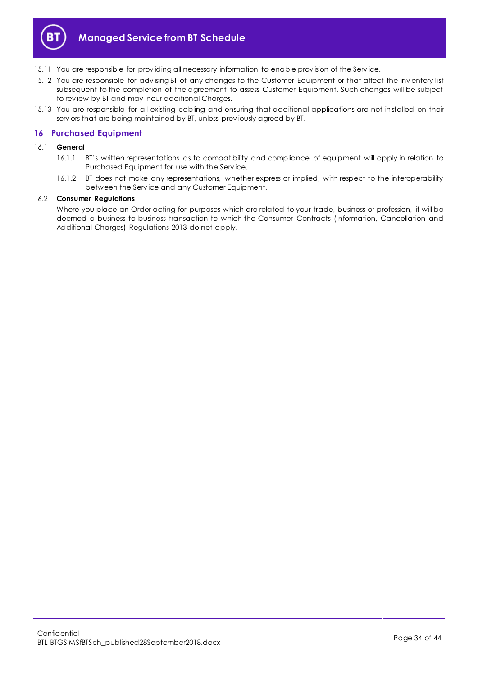

- 15.11 You are responsible for prov iding all necessary information to enable prov ision of the Serv ice.
- 15.12 You are responsible for advising BT of any changes to the Customer Equipment or that affect the inv entory list subsequent to the completion of the agreement to assess Customer Equipment. Such changes will be subject to rev iew by BT and may incur additional Charges.
- 15.13 You are responsible for all existing cabling and ensuring that additional applications are not installed on their serv ers that are being maintained by BT, unless prev iously agreed by BT.

## <span id="page-33-0"></span>**16 Purchased Equipment**

- 16.1 **General**
	- 16.1.1 BT's written representations as to compatibility and compliance of equipment will apply in relation to Purchased Equipment for use with the Serv ice.
	- 16.1.2 BT does not make any representations, whether express or implied, with respect to the interoperability between the Serv ice and any Customer Equipment.

## 16.2 **Consumer Regulations**

Where you place an Order acting for purposes which are related to your trade, business or profession, it will be deemed a business to business transaction to which the Consumer Contracts (Information, Cancellation and Additional Charges) Regulations 2013 do not apply.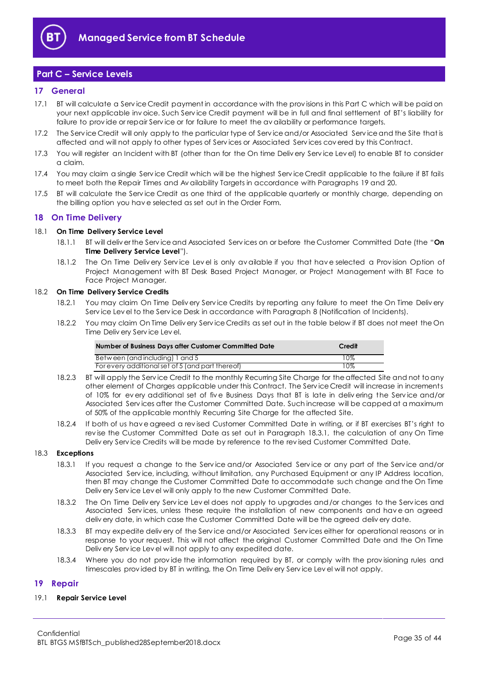

# <span id="page-34-0"></span>**Part C – Service Levels**

## <span id="page-34-1"></span>**17 General**

- 17.1 BT will calculate a Serv ice Credit payment in accordance with the prov isions in this Part C which will be paid on your next applicable inv oice. Such Serv ice Credit payment will be in full and final settlement of BT's liability for failure to prov ide or repair Serv ice or for failure to meet the av ailability or performance targets.
- 17.2 The Serv ice Credit will only apply to the particular type of Serv ice and/or Associated Serv ice and the Site that is affected and will not apply to other types of Serv ices or Associated Serv ices cov ered by this Contract.
- 17.3 You will register an Incident with BT (other than for the On time Deliv ery Serv ice Lev el) to enable BT to consider a claim.
- 17.4 You may claim a single Serv ice Credit which will be the highest Serv ice Credit applicable to the failure if BT fails to meet both the Repair Times and Av ailability Targets in accordance with Paragraphs [19](#page-34-3) and [20.](#page-35-0)
- 17.5 BT will calculate the Service Credit as one third of the applicable quarterly or monthly charge, depending on the billing option you hav e selected as set out in the Order Form.

## <span id="page-34-2"></span>**18 On Time Delivery**

#### <span id="page-34-6"></span>18.1 **On Time Delivery Service Level**

- 18.1.1 BT will deliv er the Serv ice and Associated Serv ices on or before the Customer Committed Date (the "**On Time Delivery Service Level**").
- 18.1.2 The On Time Deliv ery Service Level is only available if you that have selected a Provision Option of Project Management with BT Desk Based Project Manager, or Project Management with BT Face to Face Project Manager.

## <span id="page-34-5"></span>18.2 **On Time Delivery Service Credits**

- 18.2.1 You may claim On Time Deliv ery Serv ice Credits by reporting any failure to meet the On Time Deliv ery Serv ice Lev el to the Serv ice Desk in accordance with Paragrap[h 8](#page-28-0) (Notification of Incidents).
- 18.2.2 You may claim On Time Deliv ery Serv ice Credits as set out in the table below if BT does not meet the On Time Deliv ery Serv ice Lev el.

| Number of Business Days after Customer Committed Date | Credit |
|-------------------------------------------------------|--------|
| Between (and including) 1 and 5                       | 10%    |
| For every additional set of 5 (and part thereof)      | 10%    |

- 18.2.3 BT will apply the Service Credit to the monthly Recurring Site Charge for the affected Site and not to any other element of Charges applicable under this Contract. The Serv ice Credit will increase in increments of 10% for ev ery additional set of fiv e Business Days that BT is late in deliv ering the Serv ice and/or Associated Serv ices after the Customer Committed Date. Such increase will be capped at a maximum of 50% of the applicable monthly Recurring Site Charge for the affected Site.
- 18.2.4 If both of us hav e agreed a rev ised Customer Committed Date in writing, or if BT exercises BT's right to rev ise the Customer Committed Date as set out in Paragraph [18.3.1,](#page-34-4) the calculation of any On Time Deliv ery Serv ice Credits will be made by reference to the rev ised Customer Committed Date.

## <span id="page-34-4"></span>18.3 **Exceptions**

- 18.3.1 If you request a change to the Serv ice and/or Associated Serv ice or any part of the Serv ice and/or Associated Serv ice, including, without limitation, any Purchased Equipment or any IP Address location, then BT may change the Customer Committed Date to accommodate such change and the On Time Deliv ery Serv ice Lev el will only apply to the new Customer Committed Date.
- 18.3.2 The On Time Deliv ery Service Level does not apply to upgrades and/or changes to the Services and Associated Serv ices, unless these require the installation of new components and hav e an agreed deliv ery date, in which case the Customer Committed Date will be the agreed deliv ery date.
- 18.3.3 BT may expedite deliv ery of the Serv ice and/or Associated Serv ices either for operational reasons or in response to your request. This will not affect the original Customer Committed Date and the On Time Deliv ery Serv ice Lev el will not apply to any expedited date.
- 18.3.4 Where you do not provide the information required by BT, or comply with the provisioning rules and timescales prov ided by BT in writing, the On Time Deliv ery Serv ice Lev el will not apply.

## <span id="page-34-3"></span>**19 Repair**

## 19.1 **Repair Service Level**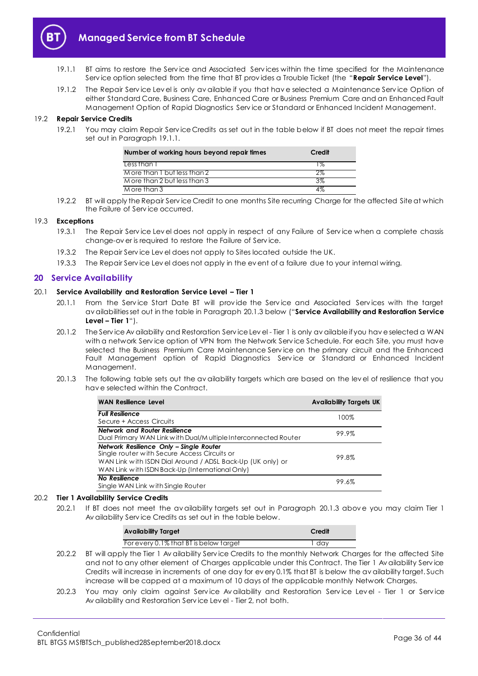

- <span id="page-35-1"></span>19.1.1 BT aims to restore the Serv ice and Associated Serv ices within the time specified for the Maintenance Serv ice option selected from the time that BT prov ides a Trouble Ticket (the "**Repair Service Level**").
- 19.1.2 The Repair Serv ice Lev el is only av ailable if you that hav e selected a Maintenance Serv ice Option of either Standard Care, Business Care, Enhanced Care or Business Premium Care and an Enhanced Fault Management Option of Rapid Diagnostics Serv ice or Standard or Enhanced Incident Management.

#### <span id="page-35-3"></span>19.2 **Repair Service Credits**

19.2.1 You may claim Repair Serv ice Credits as set out in the table below if BT does not meet the repair times set out in Paragrap[h 19.1.1.](#page-35-1)

| Number of working hours beyond repair times | Credit |
|---------------------------------------------|--------|
| Less than I                                 | $1\%$  |
| More than I but less than 2                 | 2%     |
| $M$ ore than 2 but less than 3              | 3%     |
| M ore than 3                                | 4%     |

19.2.2 BT will apply the Repair Serv ice Credit to one months Site recurring Charge for the affected Site at which the Failure of Serv ice occurred.

#### 19.3 **Exceptions**

- 19.3.1 The Repair Serv ice Lev el does not apply in respect of any Failure of Serv ice when a complete chassis change-ov er is required to restore the Failure of Serv ice.
- 19.3.2 The Repair Serv ice Lev el does not apply to Sites located outside the UK.
- 19.3.3 The Repair Serv ice Lev el does not apply in the ev ent of a failure due to your internal wiring.

## <span id="page-35-0"></span>**20 Service Availability**

#### <span id="page-35-4"></span>20.1 **Service Availability and Restoration Service Level – Tier 1**

- 20.1.1 From the Service Start Date BT will provide the Service and Associated Services with the target av ailabilities set out in the table in Paragrap[h 20.1.3](#page-35-2) below ("**Service Availability and Restoration Service Level – Tier 1**").
- 20.1.2 The Serv ice Av ailability and Restoration Serv ice Lev el Tier 1 is only av ailable if you hav e selected a WAN with a network Serv ice option of VPN from the Network Serv ice Schedule. For each Site, you must have selected the Business Premium Care Maintenance Serv ice on the primary circuit and the Enhanced Fault Management option of Rapid Diagnostics Service or Standard or Enhanced Incident Management.
- <span id="page-35-2"></span>20.1.3 The following table sets out the av ailability targets which are based on the lev el of resilience that you hav e selected within the Contract.

| <b>WAN Resilience Level</b>                                                                                                                                                                              | <b>Availability Targets UK</b> |
|----------------------------------------------------------------------------------------------------------------------------------------------------------------------------------------------------------|--------------------------------|
| <b>Full Resilience</b><br>Secure + Access Circuits                                                                                                                                                       | 100%                           |
| Network and Router Resilience<br>Dual Primary WAN Link with Dual/M ultiple Interconnected Router                                                                                                         | 99.9%                          |
| Network Resilience Only - Single Router<br>Single router with Secure Access Circuits or<br>WAN Link with ISDN Dial Around / ADSL Back-Up (UK only) or<br>WAN Link with ISDN Back-Up (International Only) | 99.8%                          |
| No Resilience<br>Single WAN Link with Single Router                                                                                                                                                      | 99.6%                          |

#### <span id="page-35-5"></span>20.2 **Tier 1 Availability Service Credits**

20.2.1 If BT does not meet the av ailability targets set out in Paragraph [20.1.3](#page-35-2) above you may claim Tier 1 Av ailability Serv ice Credits as set out in the table below.

| <b>Availability Target</b>             | Credit |
|----------------------------------------|--------|
| For every 0.1% that BT is below target | dav    |

- 20.2.2 BT will apply the Tier 1 Av ailability Serv ice Credits to the monthly Network Charges for the affected Site and not to any other element of Charges applicable under this Contract. The Tier 1 Av ailability Serv ice Credits will increase in increments of one day for ev ery 0.1% that BT is below the av ailability target. Such increase will be capped at a maximum of 10 days of the applicable monthly Network Charges.
- 20.2.3 You may only claim against Service Availability and Restoration Service Level Tier 1 or Service Av ailability and Restoration Serv ice Lev el - Tier 2, not both.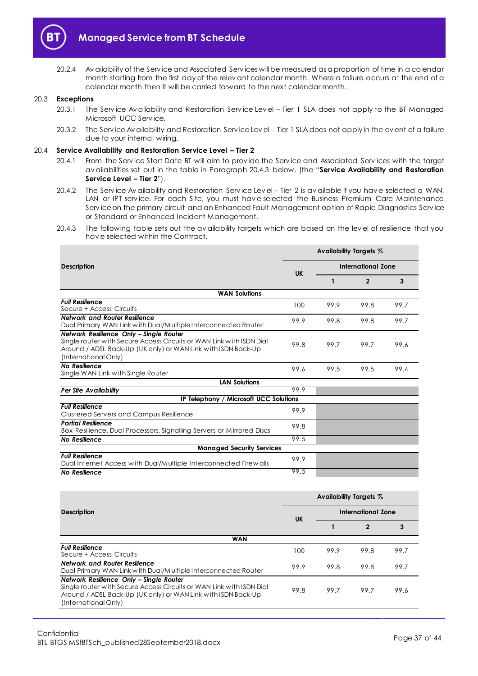

20.2.4 Av ailability of the Serv ice and Associated Serv ices will be measured as a proportion of time in a calendar month starting from the first day of the relev ant calendar month. Where a failure occurs at the end of a calendar month then it will be carried forward to the next calendar month.

#### 20.3 **Exceptions**

- 20.3.1 The Serv ice Av ailability and Restoration Serv ice Lev el Tier 1 SLA does not apply to the BT Managed Microsoft UCC Serv ice.
- 20.3.2 The Serv ice Av ailability and Restoration Serv ice Lev el Tier 1 SLA does not apply in the ev ent of a failure due to your internal wiring.

#### <span id="page-36-1"></span>20.4 **Service Availability and Restoration Service Level – Tier 2**

- 20.4.1 From the Serv ice Start Date BT will aim to prov ide the Serv ice and Associated Serv ices with the target av ailabilities set out in the table in Paragraph [20.4.3](#page-36-0) below. (the "**Service Availability and Restoration Service Level – Tier 2**").
- 20.4.2 The Service Av ailability and Restoration Service Level Tier 2 is av ailable if you have selected a WAN, LAN or IPT service. For each Site, you must have selected the Business Premium Care Maintenance Serv ice on the primary circuit and an Enhanced Fault Management option of Rapid Diagnostics Serv ice or Standard or Enhanced Incident Management.
- <span id="page-36-0"></span>20.4.3 The following table sets out the av ailability targets which are based on the lev el of resilience that you hav e selected within the Contract.

|                                                                                                                                                                                                          | Availability Targets % |                           |                |      |
|----------------------------------------------------------------------------------------------------------------------------------------------------------------------------------------------------------|------------------------|---------------------------|----------------|------|
| <b>Description</b>                                                                                                                                                                                       | <b>UK</b>              | <b>International Zone</b> |                |      |
|                                                                                                                                                                                                          |                        | 1                         | $\overline{2}$ | 3    |
| <b>WAN Solutions</b>                                                                                                                                                                                     |                        |                           |                |      |
| <b>Full Resilience</b><br>Secure + Access Circuits                                                                                                                                                       | 100                    | 99.9                      | 99.8           | 99.7 |
| <b>Network and Router Resilience</b><br>Dual Primary WAN Link with Dual/Multiple Interconnected Router                                                                                                   | 99.9                   | 99.8                      | 99.8           | 99.7 |
| Network Resilience Only - Single Router<br>Single router with Secure Access Circuits or WAN Link with ISDN Dial<br>Around / ADSL Back-Up (UK only) or WAN Link with ISDN Back-Up<br>(International Only) | 99.8                   | 99.7                      | 99.7           | 99.6 |
| <b>No Resilience</b><br>Single WAN Link with Single Router                                                                                                                                               | 99.6                   | 99.5                      | 99.5           | 99.4 |
| <b>LAN Solutions</b>                                                                                                                                                                                     |                        |                           |                |      |
| <b>Per Site Availability</b>                                                                                                                                                                             | 99.9                   |                           |                |      |
| IP Telephony / Microsoft UCC Solutions                                                                                                                                                                   |                        |                           |                |      |
| <b>Full Resilience</b><br><b>Clustered Servers and Campus Resilience</b>                                                                                                                                 | 99.9                   |                           |                |      |
| <b>Partial Resilience</b><br>Box Resilience, Dual Processors, Signalling Servers or Mirrored Discs                                                                                                       | 99.8                   |                           |                |      |
| No Resilience                                                                                                                                                                                            | 99.5                   |                           |                |      |
| <b>Managed Security Services</b>                                                                                                                                                                         |                        |                           |                |      |
| <b>Full Resilience</b><br>Dual Internet Access with Dual/Multiple Interconnected Firewalls                                                                                                               | 99.9                   |                           |                |      |
| No Resilience                                                                                                                                                                                            | 99.5                   |                           |                |      |

|                                                                                                                                                                                                          | Availability Targets % |      |              |      |
|----------------------------------------------------------------------------------------------------------------------------------------------------------------------------------------------------------|------------------------|------|--------------|------|
| International Zone<br><b>Description</b><br><b>UK</b>                                                                                                                                                    |                        |      |              |      |
|                                                                                                                                                                                                          |                        |      | $\mathbf{2}$ |      |
| <b>WAN</b>                                                                                                                                                                                               |                        |      |              |      |
| <b>Full Resilience</b><br>Secure + Access Circuits                                                                                                                                                       | 100                    | 99.9 | 99.8         | 99.7 |
| <b>Network and Router Resilience</b><br>Dual Primary WAN Link with Dual/M ultiple Interconnected Router                                                                                                  | 99.9                   | 99.8 | 99.8         | 99.7 |
| Network Resilience Only - Single Router<br>Single router with Secure Access Circuits or WAN Link with ISDN Dial<br>Around / ADSL Back-Up (UK only) or WAN Link with ISDN Back-Up<br>(International Only) | 99.8                   | 99.7 | 99.7         | 99.6 |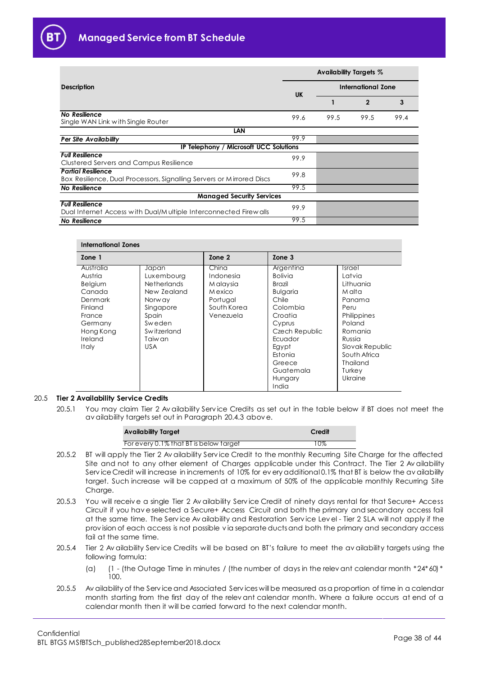

|                                                                                                    | Availability Targets % |                           |              |      |
|----------------------------------------------------------------------------------------------------|------------------------|---------------------------|--------------|------|
| <b>Description</b>                                                                                 | <b>UK</b>              | <b>International Zone</b> |              |      |
|                                                                                                    |                        |                           | $\mathbf{2}$ | 3    |
| No Resilience<br>Single WAN Link with Single Router                                                | 99.6                   | 99.5                      | 99.5         | 99.4 |
| LAN                                                                                                |                        |                           |              |      |
| Per Site Availability                                                                              | 99.9                   |                           |              |      |
| IP Telephony / Microsoft UCC Solutions                                                             |                        |                           |              |      |
| <b>Full Resilience</b><br><b>Clustered Servers and Campus Resilience</b>                           | 99.9                   |                           |              |      |
| <b>Partial Resilience</b><br>Box Resilience, Dual Processors, Signalling Servers or Mirrored Discs | 99.8                   |                           |              |      |
| No Resilience                                                                                      | 99.5                   |                           |              |      |
| <b>Managed Security Services</b>                                                                   |                        |                           |              |      |
| <b>Full Resilience</b><br>Dual Internet Access with Dual/Multiple Interconnected Firewalls         | 99.9                   |                           |              |      |
| No Resilience                                                                                      | 99.5                   |                           |              |      |

## **International Zones**

| Zone 1    |                    | Zone 2      | Zone 3          |                      |
|-----------|--------------------|-------------|-----------------|----------------------|
| Australia | Japan              | China       | Argentina       | <i><b>Israel</b></i> |
| Austria   | Luxembourg         | Indonesia   | <b>Bolivia</b>  | Latvia               |
| Belgium   | <b>Netherlands</b> | M alaysia   | Brazil          | Lithuania            |
| Canada    | New Zealand        | M exico     | <b>Bulgaria</b> | M alta               |
| Denmark   | Norw ay            | Portugal    | Chile           | Panama               |
| Finland   | Singapore          | South Korea | Colombia        | Peru                 |
| France    | Spain              | Venezuela   | Croatia         | Philippines          |
| Germany   | Sweden             |             | Cyprus          | Poland               |
| Hong Kong | Switzerland        |             | Czech Republic  | Romania              |
| Ireland   | Taiw an            |             | Ecuador         | Russia               |
| Italy     | USA.               |             | Eavpt           | Slovak Republic      |
|           |                    |             | Estonia         | South Africa         |
|           |                    |             | Greece          | Thailand             |
|           |                    |             | Guatemala       | Turkey               |
|           |                    |             | Hungary         | Ukraine              |
|           |                    |             | India           |                      |

#### <span id="page-37-0"></span>20.5 **Tier 2 Availability Service Credits**

20.5.1 You may claim Tier 2 Av ailability Serv ice Credits as set out in the table below if BT does not meet the av ailability targets set out in Paragraph [20.4.3](#page-36-0) abov e.

| <b>Availability Target</b>             | Credit |
|----------------------------------------|--------|
| For every 0.1% that BI is below target | $10\%$ |

- 20.5.2 BT will apply the Tier 2 Av ailability Serv ice Credit to the monthly Recurring Site Charge for the affected Site and not to any other element of Charges applicable under this Contract. The Tier 2 Av ailability Serv ice Credit will increase in increments of 10% for every additional 0.1% that BT is below the availability target. Such increase will be capped at a maximum of 50% of the applicable monthly Recurring Site Charge.
- 20.5.3 You will receiv e a single Tier 2 Av ailability Serv ice Credit of ninety days rental for that Secure+ Access Circuit if you hav e selected a Secure+ Access Circuit and both the primary and secondary access fail at the same time. The Serv ice Av ailability and Restoration Serv ice Lev el - Tier 2 SLA will not apply if the prov ision of each access is not possible v ia separate ducts and both the primary and secondary access fail at the same time.
- 20.5.4 Tier 2 Av ailability Serv ice Credits will be based on BT's failure to meet the av ailability targets using the following formula:
	- (a) (1 (the Outage Time in minutes / (the number of days in the relev ant calendar month \*24\*60) \* 100.
- 20.5.5 Av ailability of the Serv ice and Associated Serv ices will be measured as a proportion of time in a calendar month starting from the first day of the relev ant calendar month. Where a failure occurs at end of a calendar month then it will be carried forward to the next calendar month.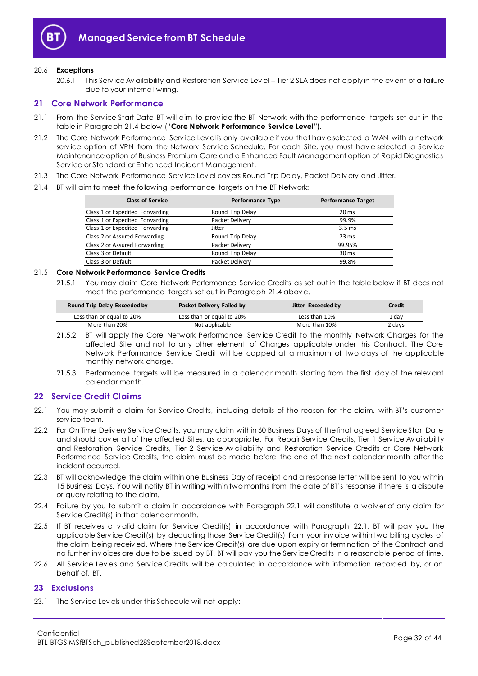

#### 20.6 **Exceptions**

20.6.1 This Serv ice Av ailability and Restoration Serv ice Lev el – Tier 2 SLA does not apply in the ev ent of a failure due to your internal wiring.

## <span id="page-38-0"></span>**21 Core Network Performance**

- <span id="page-38-6"></span>21.1 From the Serv ice Start Date BT will aim to prov ide the BT Network with the performance targets set out in the table in Paragraph [21.4](#page-38-3) below ("**Core Network Performance Service Level**").
- 21.2 The Core Network Performance Serv ice Lev el is only av ailable if you that hav e selected a WAN with a network serv ice option of VPN from the Network Serv ice Schedule. For each Site, you must hav e selected a Serv ice Maintenance option of Business Premium Care and a Enhanced Fault Management option of Rapid Diagnostics Serv ice or Standard or Enhanced Incident Management.
- 21.3 The Core Network Performance Serv ice Lev el cov ers Round Trip Delay, Packet Deliv ery and Jitter.
- <span id="page-38-3"></span>21.4 BT will aim to meet the following performance targets on the BT Network:

| <b>Class of Service</b>         | <b>Performance Type</b> | <b>Performance Target</b> |
|---------------------------------|-------------------------|---------------------------|
| Class 1 or Expedited Forwarding | Round Trip Delay        | 20 <sub>ms</sub>          |
| Class 1 or Expedited Forwarding | Packet Delivery         | 99.9%                     |
| Class 1 or Expedited Forwarding | Jitter                  | 3.5 <sub>ms</sub>         |
| Class 2 or Assured Forwarding   | Round Trip Delay        | $23 \text{ ms}$           |
| Class 2 or Assured Forwarding   | Packet Delivery         | 99.95%                    |
| Class 3 or Default              | Round Trip Delay        | 30 <sub>ms</sub>          |
| Class 3 or Default              | Packet Delivery         | 99.8%                     |

## <span id="page-38-5"></span>21.5 **Core Network Performance Service Credits**

21.5.1 You may claim Core Network Performance Serv ice Credits as set out in the table below if BT does not meet the performance targets set out in Paragraph [21.4](#page-38-3) abov e.

| Round Trip Delay Exceeded by | Packet Delivery Failed by | Jitter Exceeded by | Credit |
|------------------------------|---------------------------|--------------------|--------|
| Less than or equal to 20%    | Less than or equal to 20% | Less than 10%      | 1 dav  |
| More than 20%                | Not applicable            | More than 10%      | 2 davs |

- 21.5.2 BT will apply the Core Network Performance Serv ice Credit to the monthly Network Charges for the affected Site and not to any other element of Charges applicable under this Contract. The Core Network Performance Serv ice Credit will be capped at a maximum of two days of the applicable monthly network charge.
- 21.5.3 Performance targets will be measured in a calendar month starting from the first day of the relev ant calendar month.

## <span id="page-38-1"></span>**22 Service Credit Claims**

- <span id="page-38-4"></span>22.1 You may submit a claim for Serv ice Credits, including details of the reason for the claim, with BT's customer serv ice team.
- 22.2 For On Time Deliv ery Serv ice Credits, you may claim within 60 Business Days of the final agreed Serv ice Start Date and should cov er all of the affected Sites, as appropriate. For Repair Serv ice Credits, Tier 1 Serv ice Av ailability and Restoration Serv ice Credits, Tier 2 Serv ice Av ailability and Restoration Serv ice Credits or Core Network Performance Serv ice Credits, the claim must be made before the end of the next calendar month after the incident occurred.
- 22.3 BT will acknowledge the claim within one Business Day of receipt and a response letter will be sent to you within 15 Business Days. You will notify BT in writing within two months from the date of BT's response if there is a dispute or query relating to the claim.
- 22.4 Failure by you to submit a claim in accordance with Paragraph [22.1](#page-38-4) will constitute a waiv er of any claim for Serv ice Credit(s) in that calendar month.
- 22.5 If BT receives a valid claim for Service Credit(s) in accordance with Paragraph [22.1,](#page-38-4) BT will pay you the applicable Serv ice Credit(s) by deducting those Serv ice Credit(s) from your inv oice within two billing cycles of the claim being receiv ed. Where the Serv ice Credit(s) are due upon expiry or termination of the Contract and no further inv oices are due to be issued by BT, BT will pay you the Serv ice Credits in a reasonable period of time.
- 22.6 All Service Levels and Service Credits will be calculated in accordance with information recorded by, or on behalf of, BT.

## <span id="page-38-2"></span>**23 Exclusions**

23.1 The Serv ice Lev els under this Schedule will not apply: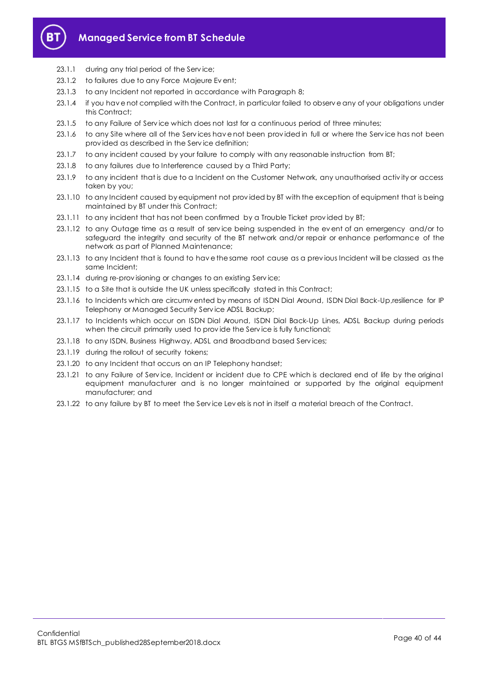

- 23.1.1 during any trial period of the Service;
- 23.1.2 to failures due to any Force Majeure Ev ent;
- 23.1.3 to any Incident not reported in accordance with Paragrap[h 8;](#page-28-0)
- 23.1.4 if you hav e not complied with the Contract, in particular failed to observ e any of your obligations under this Contract;
- 23.1.5 to any Failure of Serv ice which does not last for a continuous period of three minutes;
- 23.1.6 to any Site where all of the Serv ices hav e not been prov ided in full or where the Serv ice has not been prov ided as described in the Serv ice definition;
- 23.1.7 to any incident caused by your failure to comply with any reasonable instruction from BT;
- 23.1.8 to any failures due to Interference caused by a Third Party;
- 23.1.9 to any incident that is due to a Incident on the Customer Network, any unauthorised activ ity or access taken by you;
- 23.1.10 to any Incident caused by equipment not prov ided by BT with the exception of equipment that is being maintained by BT under this Contract;
- 23.1.11 to any incident that has not been confirmed by a Trouble Ticket prov ided by BT;
- 23.1.12 to any Outage time as a result of service being suspended in the event of an emergency and/or to safeguard the integrity and security of the BT network and/or repair or enhance performance of the network as part of Planned Maintenance;
- 23.1.13 to any Incident that is found to hav e the same root cause as a prev ious Incident will be classed as the same Incident;
- 23.1.14 during re-prov isioning or changes to an existing Serv ice;
- 23.1.15 to a Site that is outside the UK unless specifically stated in this Contract;
- 23.1.16 to Incidents which are circumv ented by means of ISDN Dial Around, ISDN Dial Back-Up,resilience for IP Telephony or Managed Security Serv ice ADSL Backup;
- 23.1.17 to Incidents which occur on ISDN Dial Around, ISDN Dial Back-Up Lines, ADSL Backup during periods when the circuit primarily used to provide the Service is fully functional;
- 23.1.18 to any ISDN, Business Highway, ADSL and Broadband based Serv ices;
- 23.1.19 during the rollout of security tokens;
- 23.1.20 to any Incident that occurs on an IP Telephony handset;
- 23.1.21 to any Failure of Serv ice, Incident or incident due to CPE which is declared end of life by the original equipment manufacturer and is no longer maintained or supported by the original equipment manufacturer; and
- 23.1.22 to any failure by BT to meet the Serv ice Lev els is not in itself a material breach of the Contract.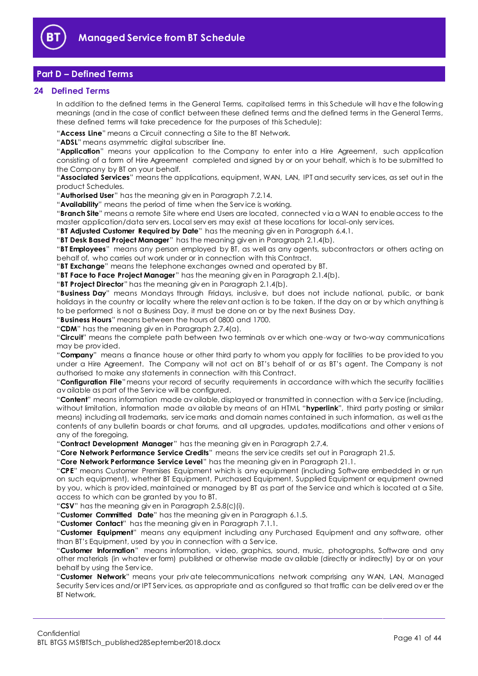

# <span id="page-40-0"></span>**Part D – Defined Terms**

## <span id="page-40-1"></span>**24 Defined Terms**

In addition to the defined terms in the General Terms, capitalised terms in this Schedule will hav e the following meanings (and in the case of conflict between these defined terms and the defined terms in the General Terms, these defined terms will take precedence for the purposes of this Schedule):

"**Access Line**" means a Circuit connecting a Site to the BT Network.

"**ADSL**" means asymmetric digital subscriber line.

"**Application**" means your application to the Company to enter into a Hire Agreement, such application consisting of a form of Hire Agreement completed and signed by or on your behalf, which is to be submitted to the Company by BT on your behalf.

"**Associated Services**" means the applications, equipment, WAN, LAN, IPT and security serv ices, as set out in the product Schedules.

"**Authorised User**" has the meaning giv en in Paragraph [7.2.14.](#page-27-0)

"**Availability**" means the period of time when the Serv ice is working.

"**Branch Site**" means a remote Site where end Users are located, connected v ia a WAN to enable access to the master application/data serv ers. Local serv ers may exist at these locations for local-only serv ices.

"**BT Adjusted Customer Required by Date**" has the meaning giv en in Paragrap[h 6.4.1.](#page-25-4)

"**BT Desk Based Project Manager**" has the meaning giv en in Paragrap[h 2.1.4\(b\).](#page-2-1)

"**BT Employees**" means any person employed by BT, as well as any agents, subcontractors or others acting on behalf of, who carries out work under or in connection with this Contract.

"**BT Exchange**" means the telephone exchanges owned and operated by BT.

"**BT Face to Face Project Manager**" has the meaning giv en in Paragraph [2.1.4\(b\).](#page-2-1) 

"**BT Project Director**" has the meaning giv en in Paragraph [2.1.4\(b\).](#page-2-1)

"**Business Day**" means Mondays through Fridays, inclusiv e, but does not include national, public, or bank holidays in the country or locality where the relev ant action is to be taken. If the day on or by which anything is to be performed is not a Business Day, it must be done on or by the next Business Day.

"**Business Hours**" means between the hours of 0800 and 1700.

"**CDM**" has the meaning giv en in Paragraph [2.7.4\(a\).](#page-19-0)

"**Circuit**" means the complete path between two terminals ov er which one-way or two-way communications may be prov ided.

"**Company**" means a finance house or other third party to whom you apply for facilities to be prov ided to you under a Hire Agreement. The Company will not act on BT's behalf of or as BT's agent. The Company is not authorised to make any statements in connection with this Contract.

"**Configuration File**"means your record of security requirements in accordance with which the security facilities av ailable as part of the Serv ice will be configured.

"**Content**" means information made av ailable, displayed or transmitted in connection with a Serv ice (including, without limitation, information made av ailable by means of an HTML "**hyperlink**", third party posting or similar means) including all trademarks, serv ice marks and domain names contained in such information, as well as the contents of any bulletin boards or chat forums, and all upgrades, updates, modifications and other v ersions of any of the foregoing.

"**Contract Development Manager**" has the meaning giv en in Paragraph [2.7.4.](#page-19-1)

"**Core Network Performance Service Credits**" means the serv ice credits set out in Paragraph [21.5.](#page-38-5)

"**Core Network Performance Service Level**" has the meaning giv en in Paragraph [21.1.](#page-38-6)

"**CPE**" means Customer Premises Equipment which is any equipment (including Software embedded in or run on such equipment), whether BT Equipment, Purchased Equipment, Supplied Equipment or equipment owned by you, which is prov ided, maintained or managed by BT as part of the Serv ice and which is located at a Site, access to which can be granted by you to BT.

"**CSV**" has the meaning giv en in Paragraph [2.5.8\(c\)\(i\).](#page-15-0)

"**Customer Committed Date**" has the meaning giv en in Paragraph [6.1.5.](#page-24-3)

"**Customer Contact**" has the meaning giv en in Paragraph [7.1.1.](#page-25-5)

"**Customer Equipment**" means any equipment including any Purchased Equipment and any software, other than BT's Equipment, used by you in connection with a Serv ice.

"**Customer Information**" means information, v ideo, graphics, sound, music, photographs, Software and any other materials (in whatev er form) published or otherwise made av ailable (directly or indirectly) by or on your behalf by using the Serv ice.

"**Customer Network**" means your priv ate telecommunications network comprising any WAN, LAN, Managed Security Serv ices and/or IPT Serv ices, as appropriate and as configured so that traffic can be deliv ered ov er the BT Network.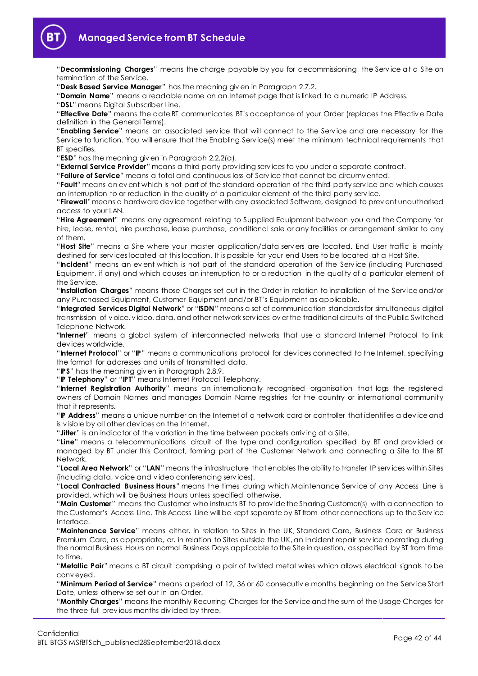

"**Decommissioning Charges**" means the charge payable by you for decommissioning the Serv ice at a Site on termination of the Serv ice.

"**Desk Based Service Manager**" has the meaning giv en in Paragraph [2.7.2.](#page-18-1)

"**Domain Name**" means a readable name on an Internet page that is linked to a numeric IP Address.

"**DSL**" means Digital Subscriber Line.

"**Effective Date**" means the date BT communicates BT's acceptance of your Order (replaces the Effectiv e Date definition in the General Terms).

"**Enabling Service**" means an associated serv ice that will connect to the Serv ice and are necessary for the Service to function. You will ensure that the Enabling Service(s) meet the minimum technical requirements that BT specifies.

"**ESD**" has the meaning giv en in Paragraph [2.2.2\(a\).](#page-4-0)

"**External Service Provider**" means a third party prov iding serv ices to you under a separate contract.

"**Failure of Service**" means a total and continuous loss of Serv ice that cannot be circumv ented.

"**Fault**" means an ev ent which is not part of the standard operation of the third party serv ice and which causes an interruption to or reduction in the quality of a particular element of the third party serv ice.

"**Firewall**"means a hardware dev ice together with any associated Software, designed to prev ent unauthorised access to your LAN.

"**Hire Agreement**" means any agreement relating to Supplied Equipment between you and the Company for hire, lease, rental, hire purchase, lease purchase, conditional sale or any facilities or arrangement similar to any of them.

"**Host Site**" means a Site where your master application/data serv ers are located. End User traffic is mainly destined for serv ices located at this location. It is possible for your end Users to be located at a Host Site.

"**Incident**" means an ev ent which is not part of the standard operation of the Serv ice (including Purchased Equipment, if any) and which causes an interruption to or a reduction in the quality of a particular element of the Serv ice.

"**Installation Charges**" means those Charges set out in the Order in relation to installation of the Serv ice and/or any Purchased Equipment, Customer Equipment and/or BT's Equipment as applicable.

"**Integrated Services Digital Network**" or "**ISDN**" means a set of communication standards for simultaneous digital transmission of v oice, v ideo, data, and other network serv ices ov er the traditional circuits of the Public Switched Telephone Network.

**"Internet**" means a global system of interconnected networks that use a standard Internet Protocol to link dev ices worldwide.

"**Internet Protocol**" or "**IP**" means a communications protocol for dev ices connected to the Internet, specifying the format for addresses and units of transmitted data.

"**IPS**" has the meaning giv en in Paragrap[h 2.8.9.](#page-20-0)

"**IP Telephony**" or "**IPT**" means Internet Protocol Telephony.

"**Internet Registration Authority**" means an internationally recognised organisation that logs the registered owners of Domain Names and manages Domain Name registries for the country or international community that it represents.

"**IP Address**" means a unique number on the Internet of a network card or controller that identifies a dev ice and is v isible by all other dev ices on the Internet.

"**Jitter**" is an indicator of the v ariation in the time between packets arriv ing at a Site.

"**Line**" means a telecommunications circuit of the type and configuration specified by BT and prov ided or managed by BT under this Contract, forming part of the Customer Network and connecting a Site to the BT Network.

"**Local Area Network**" or "**LAN**" means the infrastructure that enables the ability to transfer IP serv ices within Sites (including data, v oice and v ideo conferencing serv ices).

"**Local Contracted Business Hours**" means the times during which Maintenance Serv ice of any Access Line is prov ided, which will be Business Hours unless specified otherwise.

"**Main Customer**" means the Customer who instructs BT to prov ide the Sharing Customer(s) with a connection to the Customer's Access Line. This Access Line will be kept separate by BT from other connections up to the Serv ice Interface.

"**Maintenance Service**" means either, in relation to Sites in the UK, Standard Care, Business Care or Business Premium Care, as appropriate, or, in relation to Sites outside the UK, an Incident repair serv ice operating during the normal Business Hours on normal Business Days applicable to the Site in question, as specified by BT from time to time.

"**Metallic Pair**" means a BT circuit comprising a pair of twisted metal wires which allows electrical signals to be conv eyed.

"**Minimum Period of Service**" means a period of 12, 36 or 60 consecutiv e months beginning on the Serv ice Start Date, unless otherwise set out in an Order.

"**Monthly Charges**" means the monthly Recurring Charges for the Serv ice and the sum of the Usage Charges for the three full prev ious months div ided by three.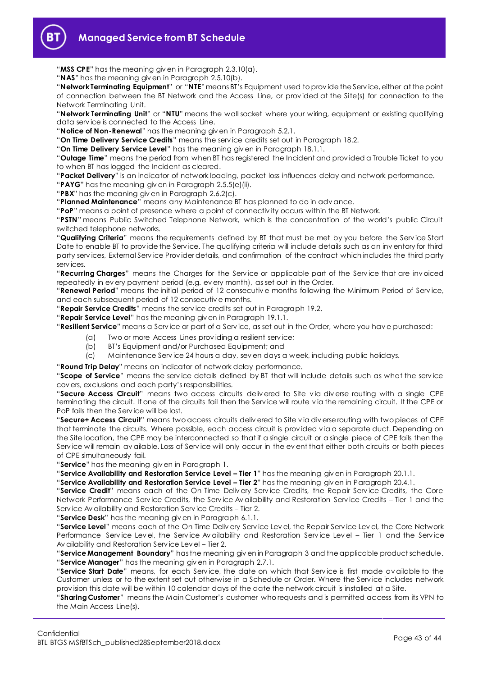

"**MSS CPE**" has the meaning giv en in Paragraph [2.3.10\(a\).](#page-9-1)

"**NAS**" has the meaning giv en in Paragraph [2.5.10\(b\).](#page-15-1)

"**Network Terminating Equipment**" or "**NTE**"means BT's Equipment used to prov ide the Serv ice, either at the point of connection between the BT Network and the Access Line, or prov ided at the Site(s) for connection to the Network Terminating Unit.

"**Network Terminating Unit**" or "**NTU**" means the wall socket where your wiring, equipment or existing qualifying data serv ice is connected to the Access Line.

"**Notice of Non-Renewal**" has the meaning giv en in Paragrap[h 5.2.1.](#page-21-5)

"**On Time Delivery Service Credits**" means the serv ice credits set out in Paragraph [18.2.](#page-34-5)

"**On Time Delivery Service Level**" has the meaning giv en in Paragrap[h 18.1.1.](#page-34-6)

"**Outage Time**" means the period from when BT has registered the Incident and prov ided a Trouble Ticket to you to when BT has logged the Incident as cleared.

"**Packet Delivery**" is an indicator of network loading, packet loss influences delay and network performance.

"**PAYG**" has the meaning giv en in Paragraph [2.5.5\(e\)\(ii\).](#page-13-0)

"**PBX**" has the meaning giv en in Paragrap[h 2.6.2\(c\).](#page-16-1)

"**Planned Maintenance**" means any Maintenance BT has planned to do in adv ance.

"**PoP**" means a point of presence where a point of connectiv ity occurs within the BT Network.

"**PSTN**" means Public Switched Telephone Network, which is the concentration of the world's public Circuit switched telephone networks.

"**Qualifying Criteria**" means the requirements defined by BT that must be met by you before the Serv ice Start Date to enable BT to prov ide the Serv ice. The qualifying criteria will include details such as an inv entory for third party serv ices, External Serv ice Prov ider details, and confirmation of the contract which includes the third party serv ices.

"**Recurring Charges**" means the Charges for the Serv ice or applicable part of the Serv ice that are inv oiced repeatedly in ev ery payment period (e.g. ev ery month), as set out in the Order.

"**Renewal Period**" means the initial period of 12 consecutiv e months following the Minimum Period of Serv ice, and each subsequent period of 12 consecutiv e months.

"**Repair Service Credits**" means the serv ice credits set out in Paragraph [19.2.](#page-35-3)

"**Repair Service Level**" has the meaning giv en in Paragraph [19.1.1.](#page-35-1)

"**Resilient Service**" means a Serv ice or part of a Serv ice, as set out in the Order, where you hav e purchased:

- (a) Two or more Access Lines prov iding a resilient serv ice;
- (b) BT's Equipment and/or Purchased Equipment; and
- (c) Maintenance Serv ice 24 hours a day, sev en days a week, including public holidays.

"**Round Trip Delay**" means an indicator of network delay performance.

"**Scope of Service**" means the serv ice details defined by BT that will include details such as what the serv ice cov ers, exclusions and each party's responsibilities.

"**Secure Access Circuit**" means two access circuits deliv ered to Site v ia div erse routing with a single CPE terminating the circuit. If one of the circuits fail then the Serv ice will route v ia the remaining circuit. It the CPE or PoP fails then the Serv ice will be lost.

"**Secure+ Access Circuit**" means two access circuits deliv ered to Site v ia div erse routing with two pieces of CPE that terminate the circuits. Where possible, each access circuit is prov ided v ia a separate duct. Depending on the Site location, the CPE may be interconnected so that if a single circuit or a single piece of CPE fails then the Service will remain av ailable. Loss of Service will only occur in the ev ent that either both circuits or both pieces of CPE simultaneously fail.

"**Service**" has the meaning giv en in Paragrap[h 1.](#page-1-2)

"**Service Availability and Restoration Service Level – Tier 1**" has the meaning giv en in Paragrap[h 20.1.1.](#page-35-4)

"**Service Availability and Restoration Service Level – Tier 2**" has the meaning giv en in Paragrap[h 20.4.1.](#page-36-1)

"**Service Credit**" means each of the On Time Deliv ery Serv ice Credits, the Repair Serv ice Credits, the Core Network Performance Serv ice Credits, the Serv ice Av ailability and Restoration Serv ice Credits – Tier 1 and the Serv ice Av ailability and Restoration Serv ice Credits – Tier 2.

"**Service Desk**" has the meaning giv en in Paragraph [6.1.1.](#page-24-4)

"**Service Level**" means each of the On Time Deliv ery Serv ice Lev el, the Repair Serv ice Lev el, the Core Network Performance Service Level, the Service Availability and Restoration Service Level - Tier 1 and the Service Av ailability and Restoration Serv ice Lev el – Tier 2.

"**Service Management Boundary**" has the meaning giv en in Paragraph [3](#page-21-0) and the applicable product schedule. "**Service Manager**" has the meaning giv en in Paragraph [2.7.1.](#page-18-2)

"**Service Start Date**" means, for each Serv ice, the date on which that Serv ice is first made av ailable to the Customer unless or to the extent set out otherwise in a Schedule or Order. Where the Serv ice includes network prov ision this date will be within 10 calendar days of the date the network circuit is installed at a Site.

"**Sharing Customer**" means the Main Customer's customer who requests and is permitted access from its VPN to the Main Access Line(s).